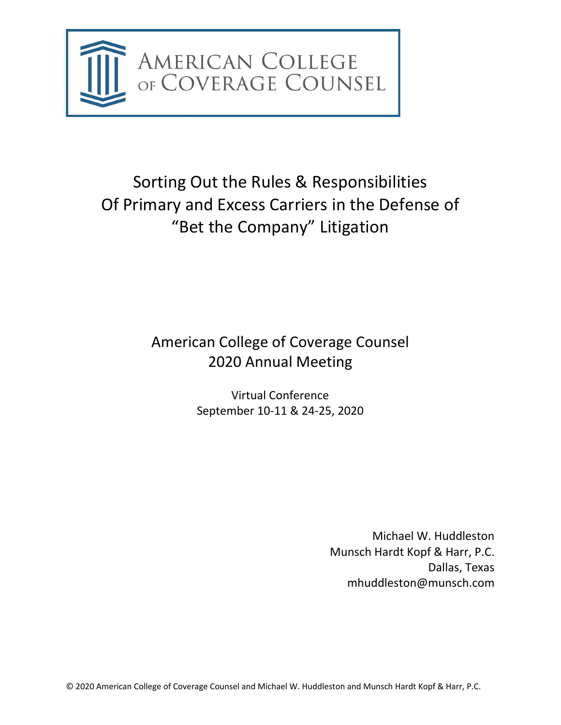

# Sorting Out the Rules & Responsibilities Of Primary and Excess Carriers in the Defense of "Bet the Company" Litigation

# American College of Coverage Counsel 2020 Annual Meeting

Virtual Conference September 10-11 & 24-25, 2020

> Michael W. Huddleston Munsch Hardt Kopf & Harr, P.C. Dallas, Texas mhuddleston@munsch.com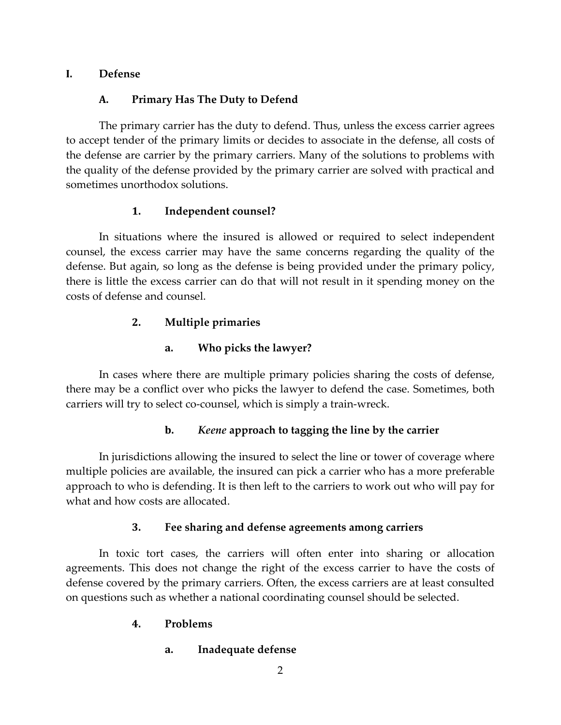### **I. Defense**

### **A. Primary Has The Duty to Defend**

The primary carrier has the duty to defend. Thus, unless the excess carrier agrees to accept tender of the primary limits or decides to associate in the defense, all costs of the defense are carrier by the primary carriers. Many of the solutions to problems with the quality of the defense provided by the primary carrier are solved with practical and sometimes unorthodox solutions.

# **1. Independent counsel?**

In situations where the insured is allowed or required to select independent counsel, the excess carrier may have the same concerns regarding the quality of the defense. But again, so long as the defense is being provided under the primary policy, there is little the excess carrier can do that will not result in it spending money on the costs of defense and counsel.

# **2. Multiple primaries**

# **a. Who picks the lawyer?**

In cases where there are multiple primary policies sharing the costs of defense, there may be a conflict over who picks the lawyer to defend the case. Sometimes, both carriers will try to select co-counsel, which is simply a train-wreck.

# **b.** *Keene* **approach to tagging the line by the carrier**

In jurisdictions allowing the insured to select the line or tower of coverage where multiple policies are available, the insured can pick a carrier who has a more preferable approach to who is defending. It is then left to the carriers to work out who will pay for what and how costs are allocated.

# **3. Fee sharing and defense agreements among carriers**

In toxic tort cases, the carriers will often enter into sharing or allocation agreements. This does not change the right of the excess carrier to have the costs of defense covered by the primary carriers. Often, the excess carriers are at least consulted on questions such as whether a national coordinating counsel should be selected.

# **4. Problems**

**a. Inadequate defense**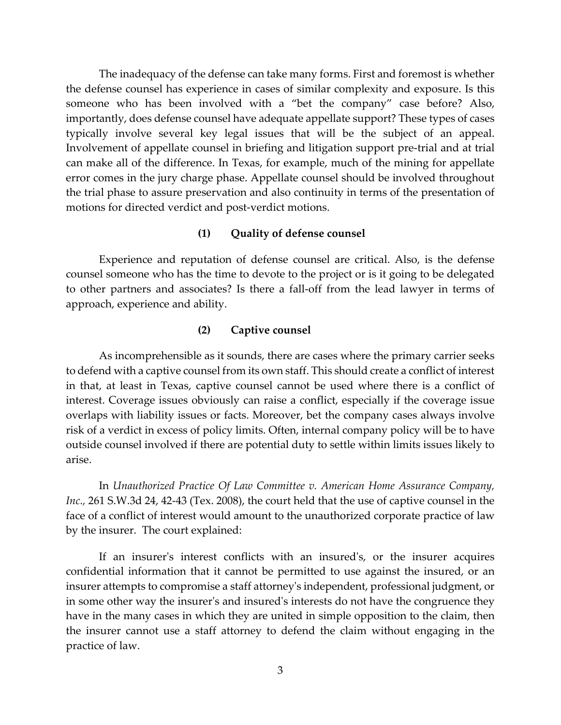The inadequacy of the defense can take many forms. First and foremost is whether the defense counsel has experience in cases of similar complexity and exposure. Is this someone who has been involved with a "bet the company" case before? Also, importantly, does defense counsel have adequate appellate support? These types of cases typically involve several key legal issues that will be the subject of an appeal. Involvement of appellate counsel in briefing and litigation support pre-trial and at trial can make all of the difference. In Texas, for example, much of the mining for appellate error comes in the jury charge phase. Appellate counsel should be involved throughout the trial phase to assure preservation and also continuity in terms of the presentation of motions for directed verdict and post-verdict motions.

### **(1) Quality of defense counsel**

Experience and reputation of defense counsel are critical. Also, is the defense counsel someone who has the time to devote to the project or is it going to be delegated to other partners and associates? Is there a fall-off from the lead lawyer in terms of approach, experience and ability.

### **(2) Captive counsel**

As incomprehensible as it sounds, there are cases where the primary carrier seeks to defend with a captive counsel from its own staff. This should create a conflict of interest in that, at least in Texas, captive counsel cannot be used where there is a conflict of interest. Coverage issues obviously can raise a conflict, especially if the coverage issue overlaps with liability issues or facts. Moreover, bet the company cases always involve risk of a verdict in excess of policy limits. Often, internal company policy will be to have outside counsel involved if there are potential duty to settle within limits issues likely to arise.

In *Unauthorized Practice Of Law Committee v. American Home Assurance Company, Inc.,* 261 S.W.3d 24, 42-43 (Tex. 2008), the court held that the use of captive counsel in the face of a conflict of interest would amount to the unauthorized corporate practice of law by the insurer. The court explained:

If an insurer's interest conflicts with an insured's, or the insurer acquires confidential information that it cannot be permitted to use against the insured, or an insurer attempts to compromise a staff attorney's independent, professional judgment, or in some other way the insurer's and insured's interests do not have the congruence they have in the many cases in which they are united in simple opposition to the claim, then the insurer cannot use a staff attorney to defend the claim without engaging in the practice of law.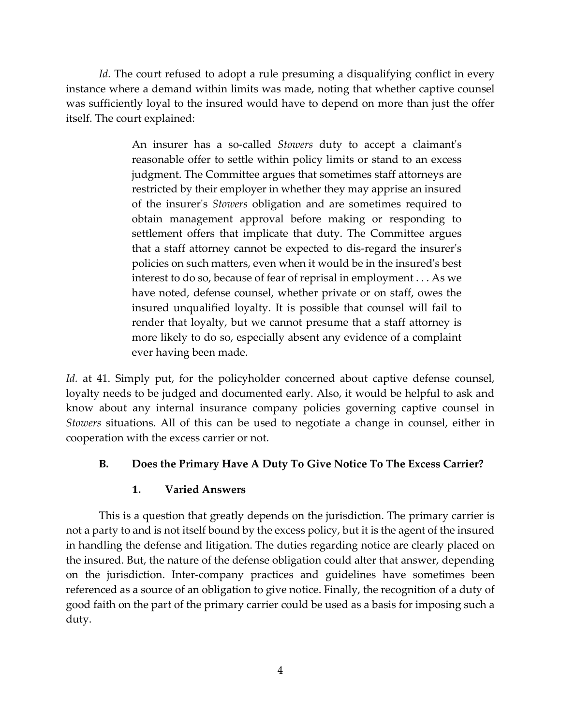*Id.* The court refused to adopt a rule presuming a disqualifying conflict in every instance where a demand within limits was made, noting that whether captive counsel was sufficiently loyal to the insured would have to depend on more than just the offer itself. The court explained:

> An insurer has a so-called *Stowers* duty to accept a claimant's reasonable offer to settle within policy limits or stand to an excess judgment. The Committee argues that sometimes staff attorneys are restricted by their employer in whether they may apprise an insured of the insurer's *Stowers* obligation and are sometimes required to obtain management approval before making or responding to settlement offers that implicate that duty. The Committee argues that a staff attorney cannot be expected to dis-regard the insurer's policies on such matters, even when it would be in the insured's best interest to do so, because of fear of reprisal in employment . . . As we have noted, defense counsel, whether private or on staff, owes the insured unqualified loyalty. It is possible that counsel will fail to render that loyalty, but we cannot presume that a staff attorney is more likely to do so, especially absent any evidence of a complaint ever having been made.

*Id.* at 41. Simply put, for the policyholder concerned about captive defense counsel, loyalty needs to be judged and documented early. Also, it would be helpful to ask and know about any internal insurance company policies governing captive counsel in *Stowers* situations. All of this can be used to negotiate a change in counsel, either in cooperation with the excess carrier or not.

# **B. Does the Primary Have A Duty To Give Notice To The Excess Carrier?**

### **1. Varied Answers**

This is a question that greatly depends on the jurisdiction. The primary carrier is not a party to and is not itself bound by the excess policy, but it is the agent of the insured in handling the defense and litigation. The duties regarding notice are clearly placed on the insured. But, the nature of the defense obligation could alter that answer, depending on the jurisdiction. Inter-company practices and guidelines have sometimes been referenced as a source of an obligation to give notice. Finally, the recognition of a duty of good faith on the part of the primary carrier could be used as a basis for imposing such a duty.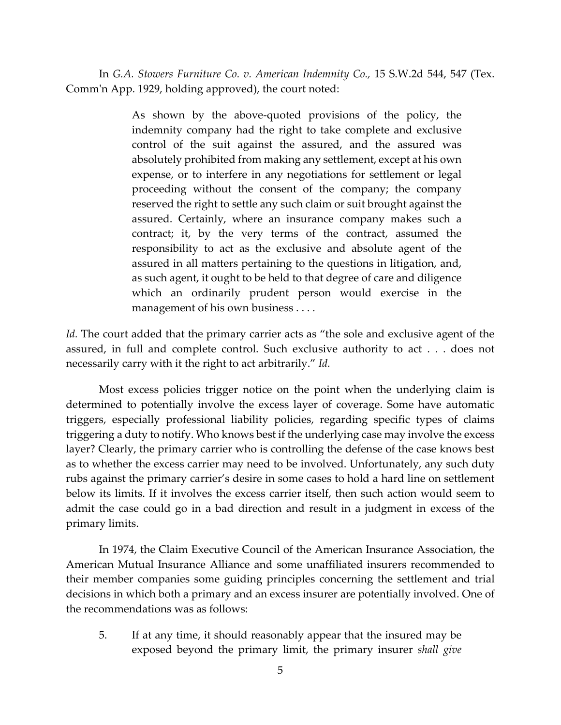In *G.A. Stowers Furniture Co. v. American Indemnity Co.,* 15 S.W.2d 544, 547 (Tex. Comm'n App. 1929, holding approved), the court noted:

> As shown by the above-quoted provisions of the policy, the indemnity company had the right to take complete and exclusive control of the suit against the assured, and the assured was absolutely prohibited from making any settlement, except at his own expense, or to interfere in any negotiations for settlement or legal proceeding without the consent of the company; the company reserved the right to settle any such claim or suit brought against the assured. Certainly, where an insurance company makes such a contract; it, by the very terms of the contract, assumed the responsibility to act as the exclusive and absolute agent of the assured in all matters pertaining to the questions in litigation, and, as such agent, it ought to be held to that degree of care and diligence which an ordinarily prudent person would exercise in the management of his own business . . . .

*Id.* The court added that the primary carrier acts as "the sole and exclusive agent of the assured, in full and complete control. Such exclusive authority to act . . . does not necessarily carry with it the right to act arbitrarily." *Id.*

Most excess policies trigger notice on the point when the underlying claim is determined to potentially involve the excess layer of coverage. Some have automatic triggers, especially professional liability policies, regarding specific types of claims triggering a duty to notify. Who knows best if the underlying case may involve the excess layer? Clearly, the primary carrier who is controlling the defense of the case knows best as to whether the excess carrier may need to be involved. Unfortunately, any such duty rubs against the primary carrier's desire in some cases to hold a hard line on settlement below its limits. If it involves the excess carrier itself, then such action would seem to admit the case could go in a bad direction and result in a judgment in excess of the primary limits.

In 1974, the Claim Executive Council of the American Insurance Association, the American Mutual Insurance Alliance and some unaffiliated insurers recommended to their member companies some guiding principles concerning the settlement and trial decisions in which both a primary and an excess insurer are potentially involved. One of the recommendations was as follows:

5. If at any time, it should reasonably appear that the insured may be exposed beyond the primary limit, the primary insurer *shall give*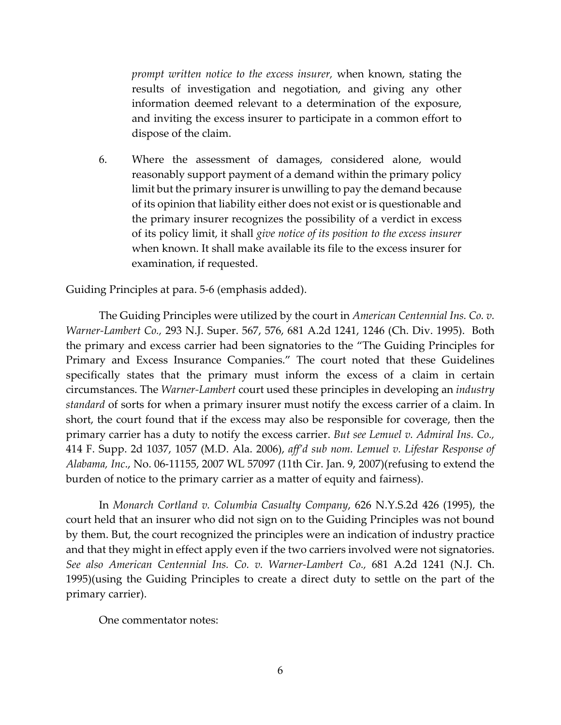*prompt written notice to the excess insurer,* when known, stating the results of investigation and negotiation, and giving any other information deemed relevant to a determination of the exposure, and inviting the excess insurer to participate in a common effort to dispose of the claim.

6. Where the assessment of damages, considered alone, would reasonably support payment of a demand within the primary policy limit but the primary insurer is unwilling to pay the demand because of its opinion that liability either does not exist or is questionable and the primary insurer recognizes the possibility of a verdict in excess of its policy limit, it shall *give notice of its position to the excess insurer* when known. It shall make available its file to the excess insurer for examination, if requested.

Guiding Principles at para. 5-6 (emphasis added).

The Guiding Principles were utilized by the court in *American Centennial Ins. Co. v. Warner-Lambert Co.,* 293 N.J. Super. 567, 576, 681 A.2d 1241, 1246 (Ch. Div. 1995). Both the primary and excess carrier had been signatories to the "The Guiding Principles for Primary and Excess Insurance Companies." The court noted that these Guidelines specifically states that the primary must inform the excess of a claim in certain circumstances. The *Warner-Lambert* court used these principles in developing an *industry standard* of sorts for when a primary insurer must notify the excess carrier of a claim. In short, the court found that if the excess may also be responsible for coverage, then the primary carrier has a duty to notify the excess carrier. *But see Lemuel v. Admiral Ins. Co.,*  414 F. Supp. 2d 1037, 1057 (M.D. Ala. 2006), *aff'd sub nom. Lemuel v. Lifestar Response of Alabama, Inc*., No. 06-11155, 2007 WL 57097 (11th Cir. Jan. 9, 2007)(refusing to extend the burden of notice to the primary carrier as a matter of equity and fairness).

In *Monarch Cortland v. Columbia Casualty Company*, 626 N.Y.S.2d 426 (1995), the court held that an insurer who did not sign on to the Guiding Principles was not bound by them. But, the court recognized the principles were an indication of industry practice and that they might in effect apply even if the two carriers involved were not signatories. *See also American Centennial Ins. Co. v. Warner-Lambert Co.,* 681 A.2d 1241 (N.J. Ch. 1995)(using the Guiding Principles to create a direct duty to settle on the part of the primary carrier).

One commentator notes: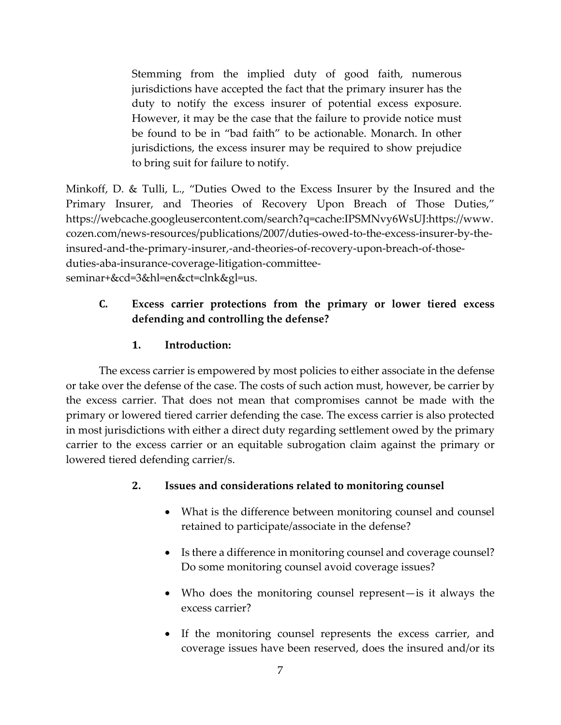Stemming from the implied duty of good faith, numerous jurisdictions have accepted the fact that the primary insurer has the duty to notify the excess insurer of potential excess exposure. However, it may be the case that the failure to provide notice must be found to be in "bad faith" to be actionable. Monarch. In other jurisdictions, the excess insurer may be required to show prejudice to bring suit for failure to notify.

Minkoff, D. & Tulli, L., "Duties Owed to the Excess Insurer by the Insured and the Primary Insurer, and Theories of Recovery Upon Breach of Those Duties," https://webcache.googleusercontent.com/search?q=cache:IPSMNvy6WsUJ:https://www. cozen.com/news-resources/publications/2007/duties-owed-to-the-excess-insurer-by-theinsured-and-the-primary-insurer,-and-theories-of-recovery-upon-breach-of-thoseduties-aba-insurance-coverage-litigation-committeeseminar+&cd=3&hl=en&ct=clnk&gl=us.

# **C. Excess carrier protections from the primary or lower tiered excess defending and controlling the defense?**

# **1. Introduction:**

The excess carrier is empowered by most policies to either associate in the defense or take over the defense of the case. The costs of such action must, however, be carrier by the excess carrier. That does not mean that compromises cannot be made with the primary or lowered tiered carrier defending the case. The excess carrier is also protected in most jurisdictions with either a direct duty regarding settlement owed by the primary carrier to the excess carrier or an equitable subrogation claim against the primary or lowered tiered defending carrier/s.

### **2. Issues and considerations related to monitoring counsel**

- What is the difference between monitoring counsel and counsel retained to participate/associate in the defense?
- Is there a difference in monitoring counsel and coverage counsel? Do some monitoring counsel avoid coverage issues?
- Who does the monitoring counsel represent—is it always the excess carrier?
- If the monitoring counsel represents the excess carrier, and coverage issues have been reserved, does the insured and/or its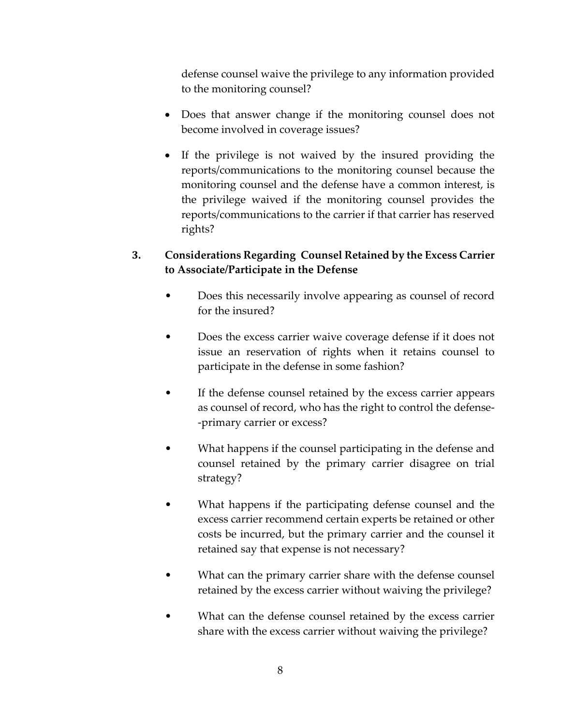defense counsel waive the privilege to any information provided to the monitoring counsel?

- Does that answer change if the monitoring counsel does not become involved in coverage issues?
- If the privilege is not waived by the insured providing the reports/communications to the monitoring counsel because the monitoring counsel and the defense have a common interest, is the privilege waived if the monitoring counsel provides the reports/communications to the carrier if that carrier has reserved rights?

# **3. Considerations Regarding Counsel Retained by the Excess Carrier to Associate/Participate in the Defense**

- Does this necessarily involve appearing as counsel of record for the insured?
- Does the excess carrier waive coverage defense if it does not issue an reservation of rights when it retains counsel to participate in the defense in some fashion?
- If the defense counsel retained by the excess carrier appears as counsel of record, who has the right to control the defense- -primary carrier or excess?
- What happens if the counsel participating in the defense and counsel retained by the primary carrier disagree on trial strategy?
- What happens if the participating defense counsel and the excess carrier recommend certain experts be retained or other costs be incurred, but the primary carrier and the counsel it retained say that expense is not necessary?
- What can the primary carrier share with the defense counsel retained by the excess carrier without waiving the privilege?
- What can the defense counsel retained by the excess carrier share with the excess carrier without waiving the privilege?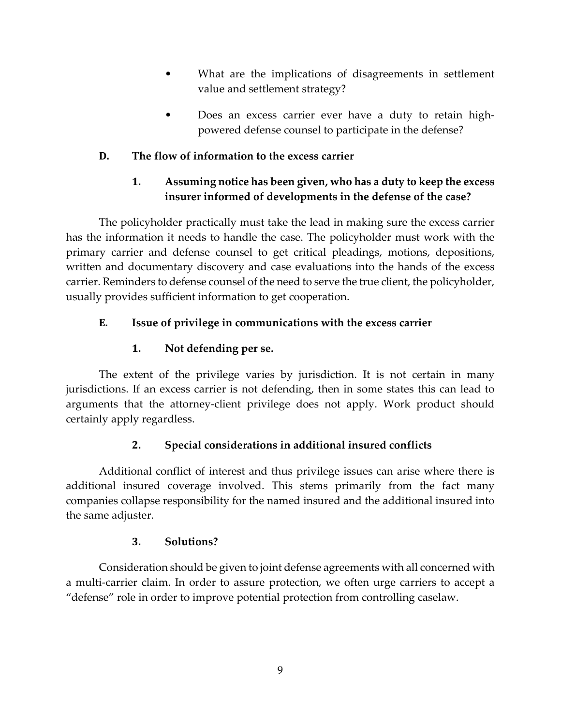- What are the implications of disagreements in settlement value and settlement strategy?
- Does an excess carrier ever have a duty to retain highpowered defense counsel to participate in the defense?

# **D. The flow of information to the excess carrier**

# **1. Assuming notice has been given, who has a duty to keep the excess insurer informed of developments in the defense of the case?**

The policyholder practically must take the lead in making sure the excess carrier has the information it needs to handle the case. The policyholder must work with the primary carrier and defense counsel to get critical pleadings, motions, depositions, written and documentary discovery and case evaluations into the hands of the excess carrier. Reminders to defense counsel of the need to serve the true client, the policyholder, usually provides sufficient information to get cooperation.

# **E. Issue of privilege in communications with the excess carrier**

# **1. Not defending per se.**

The extent of the privilege varies by jurisdiction. It is not certain in many jurisdictions. If an excess carrier is not defending, then in some states this can lead to arguments that the attorney-client privilege does not apply. Work product should certainly apply regardless.

# **2. Special considerations in additional insured conflicts**

Additional conflict of interest and thus privilege issues can arise where there is additional insured coverage involved. This stems primarily from the fact many companies collapse responsibility for the named insured and the additional insured into the same adjuster.

# **3. Solutions?**

Consideration should be given to joint defense agreements with all concerned with a multi-carrier claim. In order to assure protection, we often urge carriers to accept a "defense" role in order to improve potential protection from controlling caselaw.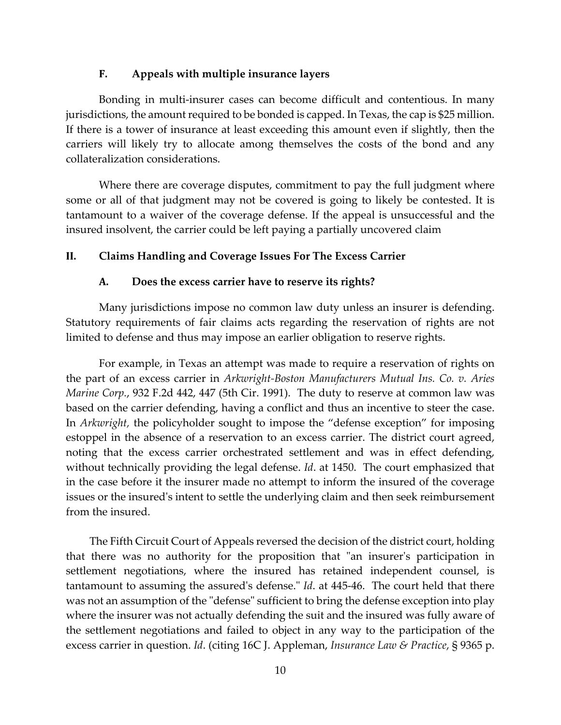#### **F. Appeals with multiple insurance layers**

Bonding in multi-insurer cases can become difficult and contentious. In many jurisdictions, the amount required to be bonded is capped. In Texas, the cap is \$25 million. If there is a tower of insurance at least exceeding this amount even if slightly, then the carriers will likely try to allocate among themselves the costs of the bond and any collateralization considerations.

Where there are coverage disputes, commitment to pay the full judgment where some or all of that judgment may not be covered is going to likely be contested. It is tantamount to a waiver of the coverage defense. If the appeal is unsuccessful and the insured insolvent, the carrier could be left paying a partially uncovered claim

### **II. Claims Handling and Coverage Issues For The Excess Carrier**

#### **A. Does the excess carrier have to reserve its rights?**

Many jurisdictions impose no common law duty unless an insurer is defending. Statutory requirements of fair claims acts regarding the reservation of rights are not limited to defense and thus may impose an earlier obligation to reserve rights.

For example, in Texas an attempt was made to require a reservation of rights on the part of an excess carrier in *Arkwright-Boston Manufacturers Mutual Ins. Co. v. Aries Marine Corp.*, 932 F.2d 442, 447 (5th Cir. 1991). The duty to reserve at common law was based on the carrier defending, having a conflict and thus an incentive to steer the case. In *Arkwright,* the policyholder sought to impose the "defense exception" for imposing estoppel in the absence of a reservation to an excess carrier. The district court agreed, noting that the excess carrier orchestrated settlement and was in effect defending, without technically providing the legal defense. *Id*. at 1450. The court emphasized that in the case before it the insurer made no attempt to inform the insured of the coverage issues or the insured's intent to settle the underlying claim and then seek reimbursement from the insured.

The Fifth Circuit Court of Appeals reversed the decision of the district court, holding that there was no authority for the proposition that "an insurer's participation in settlement negotiations, where the insured has retained independent counsel, is tantamount to assuming the assured's defense." *Id*. at 445-46. The court held that there was not an assumption of the "defense" sufficient to bring the defense exception into play where the insurer was not actually defending the suit and the insured was fully aware of the settlement negotiations and failed to object in any way to the participation of the excess carrier in question. *Id*. (citing 16C J. Appleman, *Insurance Law & Practice*, § 9365 p.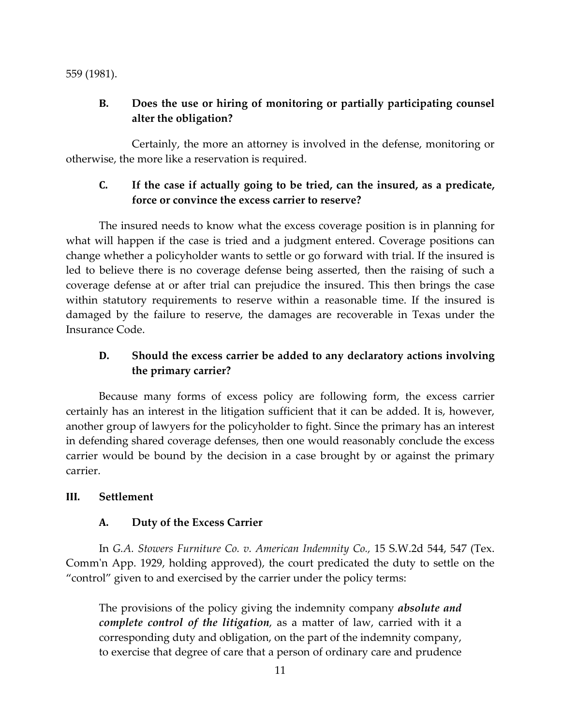559 (1981).

# **B. Does the use or hiring of monitoring or partially participating counsel alter the obligation?**

Certainly, the more an attorney is involved in the defense, monitoring or otherwise, the more like a reservation is required.

# **C. If the case if actually going to be tried, can the insured, as a predicate, force or convince the excess carrier to reserve?**

The insured needs to know what the excess coverage position is in planning for what will happen if the case is tried and a judgment entered. Coverage positions can change whether a policyholder wants to settle or go forward with trial. If the insured is led to believe there is no coverage defense being asserted, then the raising of such a coverage defense at or after trial can prejudice the insured. This then brings the case within statutory requirements to reserve within a reasonable time. If the insured is damaged by the failure to reserve, the damages are recoverable in Texas under the Insurance Code.

# **D. Should the excess carrier be added to any declaratory actions involving the primary carrier?**

Because many forms of excess policy are following form, the excess carrier certainly has an interest in the litigation sufficient that it can be added. It is, however, another group of lawyers for the policyholder to fight. Since the primary has an interest in defending shared coverage defenses, then one would reasonably conclude the excess carrier would be bound by the decision in a case brought by or against the primary carrier.

# **III. Settlement**

# **A. Duty of the Excess Carrier**

In *G.A. Stowers Furniture Co. v. American Indemnity Co.,* 15 S.W.2d 544, 547 (Tex. Comm'n App. 1929, holding approved), the court predicated the duty to settle on the "control" given to and exercised by the carrier under the policy terms:

The provisions of the policy giving the indemnity company *absolute and complete control of the litigation*, as a matter of law, carried with it a corresponding duty and obligation, on the part of the indemnity company, to exercise that degree of care that a person of ordinary care and prudence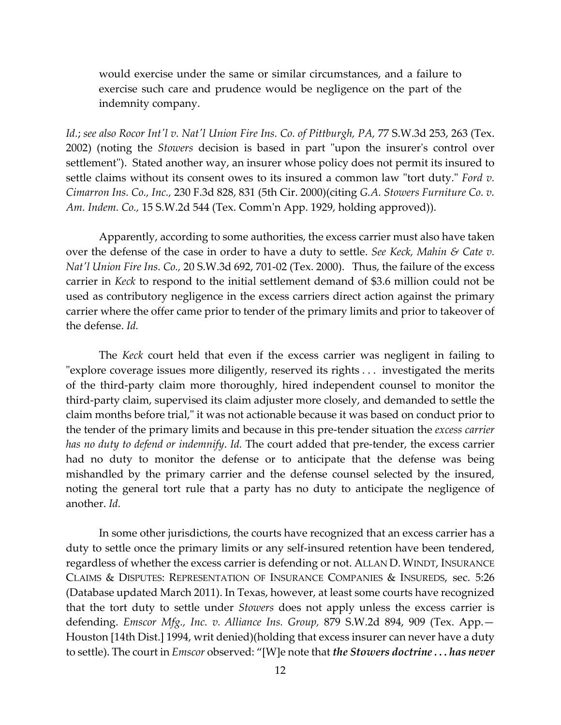would exercise under the same or similar circumstances, and a failure to exercise such care and prudence would be negligence on the part of the indemnity company.

*Id.*; *see also Rocor Int'l v. Nat'l Union Fire Ins. Co. of Pittburgh, PA,* 77 S.W.3d 253, 263 (Tex. 2002) (noting the *Stowers* decision is based in part "upon the insurer's control over settlement"). Stated another way, an insurer whose policy does not permit its insured to settle claims without its consent owes to its insured a common law "tort duty." *Ford v. Cimarron Ins. Co., Inc.,* 230 F.3d 828, 831 (5th Cir. 2000)(citing *G.A. Stowers Furniture Co. v. Am. Indem. Co.,* 15 S.W.2d 544 (Tex. Comm'n App. 1929, holding approved)).

Apparently, according to some authorities, the excess carrier must also have taken over the defense of the case in order to have a duty to settle. *See Keck, Mahin & Cate v. Nat'l Union Fire Ins. Co.,* 20 S.W.3d 692, 701-02 (Tex. 2000). Thus, the failure of the excess carrier in *Keck* to respond to the initial settlement demand of \$3.6 million could not be used as contributory negligence in the excess carriers direct action against the primary carrier where the offer came prior to tender of the primary limits and prior to takeover of the defense. *Id.*

The *Keck* court held that even if the excess carrier was negligent in failing to "explore coverage issues more diligently, reserved its rights . . . investigated the merits of the third-party claim more thoroughly, hired independent counsel to monitor the third-party claim, supervised its claim adjuster more closely, and demanded to settle the claim months before trial," it was not actionable because it was based on conduct prior to the tender of the primary limits and because in this pre-tender situation the *excess carrier has no duty to defend or indemnify*. *Id.* The court added that pre-tender, the excess carrier had no duty to monitor the defense or to anticipate that the defense was being mishandled by the primary carrier and the defense counsel selected by the insured, noting the general tort rule that a party has no duty to anticipate the negligence of another. *Id.*

In some other jurisdictions, the courts have recognized that an excess carrier has a duty to settle once the primary limits or any self-insured retention have been tendered, regardless of whether the excess carrier is defending or not. ALLAN D. WINDT, INSURANCE CLAIMS & DISPUTES: REPRESENTATION OF INSURANCE COMPANIES & INSUREDS, sec. 5:26 (Database updated March 2011). In Texas, however, at least some courts have recognized that the tort duty to settle under *Stowers* does not apply unless the excess carrier is defending. *Emscor Mfg., Inc. v. Alliance Ins. Group,* 879 S.W.2d 894, 909 (Tex. App.— Houston [14th Dist.] 1994, writ denied)(holding that excess insurer can never have a duty to settle). The court in *Emscor* observed: "[W]e note that *the Stowers doctrine . . . has never*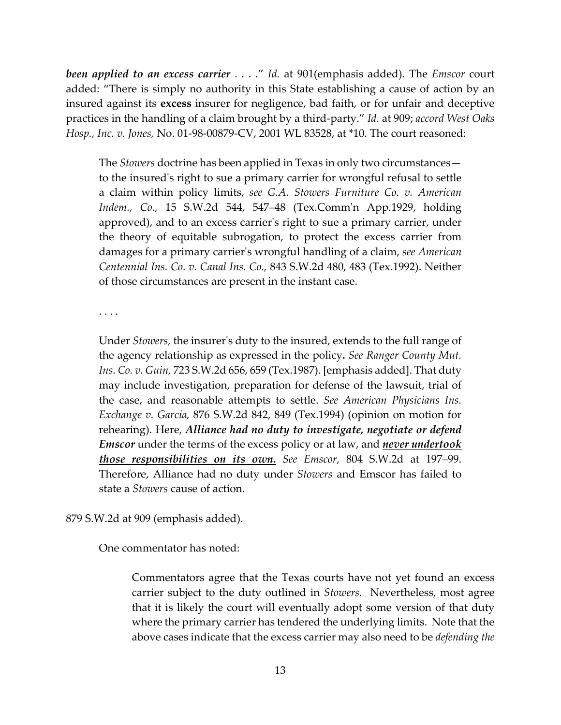*been applied to an excess carrier* . . . ." *Id.* at 901(emphasis added). The *Emscor* court added: "There is simply no authority in this State establishing a cause of action by an insured against its **excess** insurer for negligence, bad faith, or for unfair and deceptive practices in the handling of a claim brought by a third-party." *Id.* at 909; *accord West Oaks Hosp., Inc. v. Jones,* No. 01-98-00879-CV, 2001 WL 83528, at \*10. The court reasoned:

The *Stowers* doctrine has been applied in Texas in only two circumstances to the insured's right to sue a primary carrier for wrongful refusal to settle a claim within policy limits, *see G.A. Stowers Furniture Co. v. American Indem., Co.,* 15 S.W.2d 544, 547–48 (Tex.Comm'n App.1929, holding approved), and to an excess carrier's right to sue a primary carrier, under the theory of equitable subrogation, to protect the excess carrier from damages for a primary carrier's wrongful handling of a claim, *see American Centennial Ins. Co. v. Canal Ins. Co.,* 843 S.W.2d 480, 483 (Tex.1992). Neither of those circumstances are present in the instant case.

. . . .

Under *Stowers,* the insurer's duty to the insured, extends to the full range of the agency relationship as expressed in the policy**.** *See Ranger County Mut. Ins. Co. v. Guin,* 723 S.W.2d 656, 659 (Tex.1987). [emphasis added]. That duty may include investigation, preparation for defense of the lawsuit, trial of the case, and reasonable attempts to settle. *See American Physicians Ins. Exchange v. Garcia,* 876 S.W.2d 842, 849 (Tex.1994) (opinion on motion for rehearing). Here, *Alliance had no duty to investigate, negotiate or defend Emscor* under the terms of the excess policy or at law, and *never undertook those responsibilities on its own. See Emscor,* 804 S.W.2d at 197–99. Therefore, Alliance had no duty under *Stowers* and Emscor has failed to state a *Stowers* cause of action.

### 879 S.W.2d at 909 (emphasis added).

One commentator has noted:

Commentators agree that the Texas courts have not yet found an excess carrier subject to the duty outlined in *Stowers.* Nevertheless, most agree that it is likely the court will eventually adopt some version of that duty where the primary carrier has tendered the underlying limits. Note that the above cases indicate that the excess carrier may also need to be *defending the*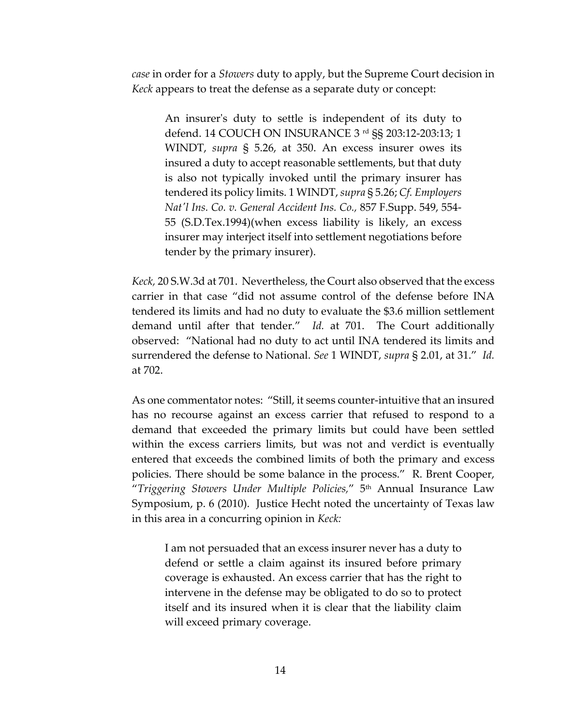*case* in order for a *Stowers* duty to apply, but the Supreme Court decision in *Keck* appears to treat the defense as a separate duty or concept:

An insurer's duty to settle is independent of its duty to defend. 14 COUCH ON INSURANCE 3 rd §§ 203:12-203:13; 1 WINDT, *supra* § 5.26, at 350. An excess insurer owes its insured a duty to accept reasonable settlements, but that duty is also not typically invoked until the primary insurer has tendered its policy limits. 1 WINDT, *supra* § 5.26; *Cf. Employers Nat'l Ins. Co. v. General Accident Ins. Co.,* 857 F.Supp. 549, 554- 55 (S.D.Tex.1994)(when excess liability is likely, an excess insurer may interject itself into settlement negotiations before tender by the primary insurer).

*Keck,* 20 S.W.3d at 701. Nevertheless, the Court also observed that the excess carrier in that case "did not assume control of the defense before INA tendered its limits and had no duty to evaluate the \$3.6 million settlement demand until after that tender." *Id.* at 701. The Court additionally observed: "National had no duty to act until INA tendered its limits and surrendered the defense to National. *See* 1 WINDT, *supra* § 2.01, at 31." *Id.* at 702.

As one commentator notes: "Still, it seems counter-intuitive that an insured has no recourse against an excess carrier that refused to respond to a demand that exceeded the primary limits but could have been settled within the excess carriers limits, but was not and verdict is eventually entered that exceeds the combined limits of both the primary and excess policies. There should be some balance in the process." R. Brent Cooper, "*Triggering Stowers Under Multiple Policies,*" 5th Annual Insurance Law Symposium, p. 6 (2010). Justice Hecht noted the uncertainty of Texas law in this area in a concurring opinion in *Keck:*

I am not persuaded that an excess insurer never has a duty to defend or settle a claim against its insured before primary coverage is exhausted. An excess carrier that has the right to intervene in the defense may be obligated to do so to protect itself and its insured when it is clear that the liability claim will exceed primary coverage.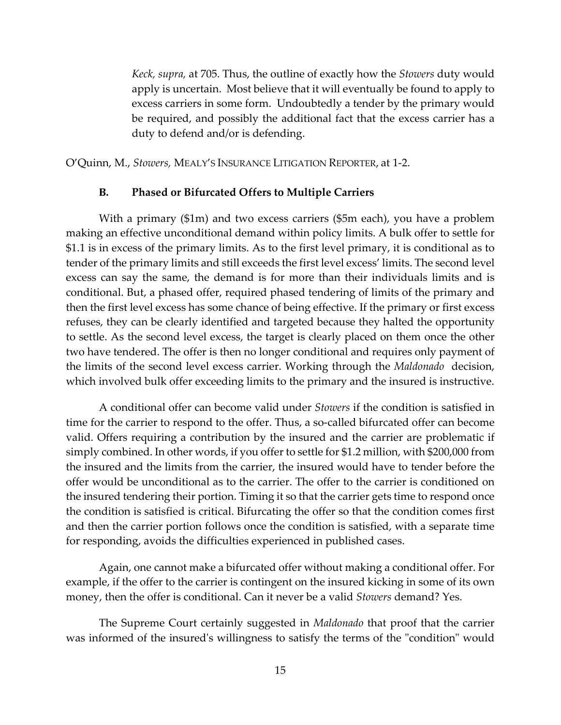*Keck, supra,* at 705. Thus, the outline of exactly how the *Stowers* duty would apply is uncertain. Most believe that it will eventually be found to apply to excess carriers in some form. Undoubtedly a tender by the primary would be required, and possibly the additional fact that the excess carrier has a duty to defend and/or is defending.

O'Quinn, M., *Stowers,* MEALY'S INSURANCE LITIGATION REPORTER, at 1-2.

#### **B. Phased or Bifurcated Offers to Multiple Carriers**

With a primary (\$1m) and two excess carriers (\$5m each), you have a problem making an effective unconditional demand within policy limits. A bulk offer to settle for \$1.1 is in excess of the primary limits. As to the first level primary, it is conditional as to tender of the primary limits and still exceeds the first level excess' limits. The second level excess can say the same, the demand is for more than their individuals limits and is conditional. But, a phased offer, required phased tendering of limits of the primary and then the first level excess has some chance of being effective. If the primary or first excess refuses, they can be clearly identified and targeted because they halted the opportunity to settle. As the second level excess, the target is clearly placed on them once the other two have tendered. The offer is then no longer conditional and requires only payment of the limits of the second level excess carrier. Working through the *Maldonado* decision, which involved bulk offer exceeding limits to the primary and the insured is instructive.

A conditional offer can become valid under *Stowers* if the condition is satisfied in time for the carrier to respond to the offer. Thus, a so-called bifurcated offer can become valid. Offers requiring a contribution by the insured and the carrier are problematic if simply combined. In other words, if you offer to settle for \$1.2 million, with \$200,000 from the insured and the limits from the carrier, the insured would have to tender before the offer would be unconditional as to the carrier. The offer to the carrier is conditioned on the insured tendering their portion. Timing it so that the carrier gets time to respond once the condition is satisfied is critical. Bifurcating the offer so that the condition comes first and then the carrier portion follows once the condition is satisfied, with a separate time for responding, avoids the difficulties experienced in published cases.

Again, one cannot make a bifurcated offer without making a conditional offer. For example, if the offer to the carrier is contingent on the insured kicking in some of its own money, then the offer is conditional. Can it never be a valid *Stowers* demand? Yes.

The Supreme Court certainly suggested in *Maldonado* that proof that the carrier was informed of the insured's willingness to satisfy the terms of the "condition" would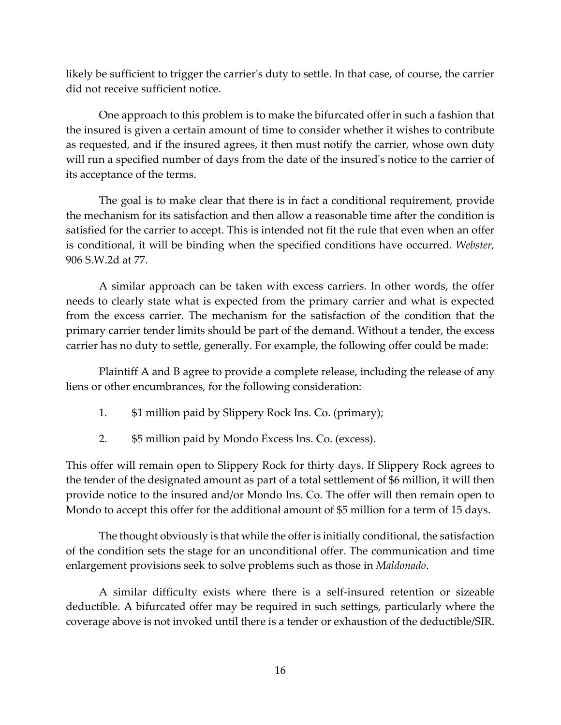likely be sufficient to trigger the carrier's duty to settle. In that case, of course, the carrier did not receive sufficient notice.

One approach to this problem is to make the bifurcated offer in such a fashion that the insured is given a certain amount of time to consider whether it wishes to contribute as requested, and if the insured agrees, it then must notify the carrier, whose own duty will run a specified number of days from the date of the insured's notice to the carrier of its acceptance of the terms.

The goal is to make clear that there is in fact a conditional requirement, provide the mechanism for its satisfaction and then allow a reasonable time after the condition is satisfied for the carrier to accept. This is intended not fit the rule that even when an offer is conditional, it will be binding when the specified conditions have occurred. *Webster,*  906 S.W.2d at 77.

A similar approach can be taken with excess carriers. In other words, the offer needs to clearly state what is expected from the primary carrier and what is expected from the excess carrier. The mechanism for the satisfaction of the condition that the primary carrier tender limits should be part of the demand. Without a tender, the excess carrier has no duty to settle, generally. For example, the following offer could be made:

Plaintiff A and B agree to provide a complete release, including the release of any liens or other encumbrances, for the following consideration:

- 1. \$1 million paid by Slippery Rock Ins. Co. (primary);
- 2. \$5 million paid by Mondo Excess Ins. Co. (excess).

This offer will remain open to Slippery Rock for thirty days. If Slippery Rock agrees to the tender of the designated amount as part of a total settlement of \$6 million, it will then provide notice to the insured and/or Mondo Ins. Co. The offer will then remain open to Mondo to accept this offer for the additional amount of \$5 million for a term of 15 days.

The thought obviously is that while the offer is initially conditional, the satisfaction of the condition sets the stage for an unconditional offer. The communication and time enlargement provisions seek to solve problems such as those in *Maldonado*.

A similar difficulty exists where there is a self-insured retention or sizeable deductible. A bifurcated offer may be required in such settings, particularly where the coverage above is not invoked until there is a tender or exhaustion of the deductible/SIR.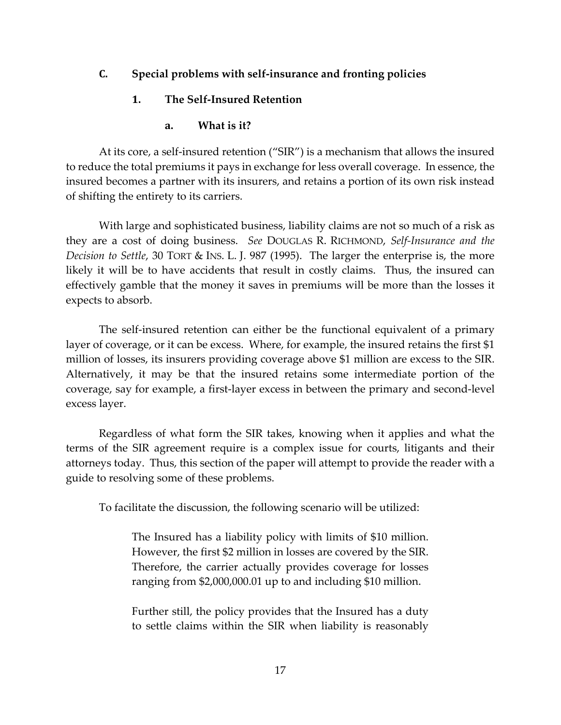### **C. Special problems with self-insurance and fronting policies**

### **1. The Self-Insured Retention**

### **a. What is it?**

At its core, a self-insured retention ("SIR") is a mechanism that allows the insured to reduce the total premiums it pays in exchange for less overall coverage. In essence, the insured becomes a partner with its insurers, and retains a portion of its own risk instead of shifting the entirety to its carriers.

With large and sophisticated business, liability claims are not so much of a risk as they are a cost of doing business. *See* DOUGLAS R. RICHMOND, *Self-Insurance and the Decision to Settle*, 30 TORT & INS. L. J. 987 (1995). The larger the enterprise is, the more likely it will be to have accidents that result in costly claims. Thus, the insured can effectively gamble that the money it saves in premiums will be more than the losses it expects to absorb.

The self-insured retention can either be the functional equivalent of a primary layer of coverage, or it can be excess. Where, for example, the insured retains the first \$1 million of losses, its insurers providing coverage above \$1 million are excess to the SIR. Alternatively, it may be that the insured retains some intermediate portion of the coverage, say for example, a first-layer excess in between the primary and second-level excess layer.

Regardless of what form the SIR takes, knowing when it applies and what the terms of the SIR agreement require is a complex issue for courts, litigants and their attorneys today. Thus, this section of the paper will attempt to provide the reader with a guide to resolving some of these problems.

To facilitate the discussion, the following scenario will be utilized:

The Insured has a liability policy with limits of \$10 million. However, the first \$2 million in losses are covered by the SIR. Therefore, the carrier actually provides coverage for losses ranging from \$2,000,000.01 up to and including \$10 million.

Further still, the policy provides that the Insured has a duty to settle claims within the SIR when liability is reasonably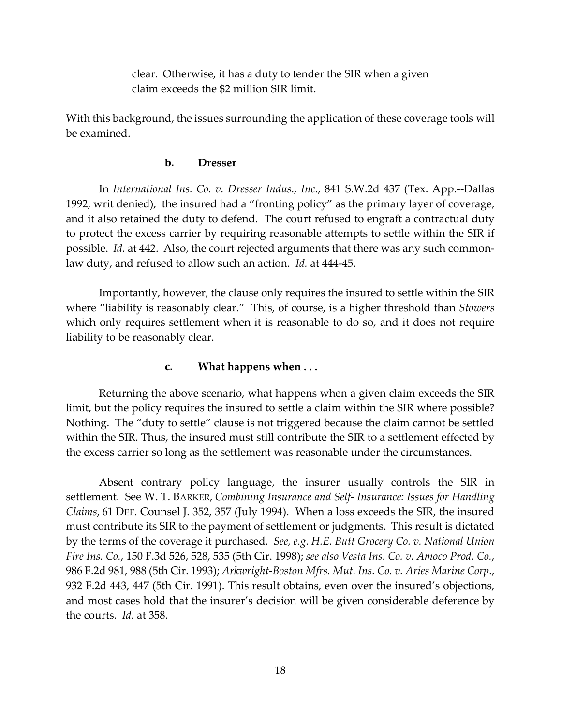clear. Otherwise, it has a duty to tender the SIR when a given claim exceeds the \$2 million SIR limit.

With this background, the issues surrounding the application of these coverage tools will be examined.

#### **b. Dresser**

In *International Ins. Co. v. Dresser Indus., Inc*., 841 S.W.2d 437 (Tex. App.--Dallas 1992, writ denied), the insured had a "fronting policy" as the primary layer of coverage, and it also retained the duty to defend. The court refused to engraft a contractual duty to protect the excess carrier by requiring reasonable attempts to settle within the SIR if possible. *Id.* at 442. Also, the court rejected arguments that there was any such commonlaw duty, and refused to allow such an action. *Id.* at 444-45.

Importantly, however, the clause only requires the insured to settle within the SIR where "liability is reasonably clear." This, of course, is a higher threshold than *Stowers* which only requires settlement when it is reasonable to do so, and it does not require liability to be reasonably clear.

### **c. What happens when . . .**

Returning the above scenario, what happens when a given claim exceeds the SIR limit, but the policy requires the insured to settle a claim within the SIR where possible? Nothing. The "duty to settle" clause is not triggered because the claim cannot be settled within the SIR. Thus, the insured must still contribute the SIR to a settlement effected by the excess carrier so long as the settlement was reasonable under the circumstances.

Absent contrary policy language, the insurer usually controls the SIR in settlement. See W. T. BARKER, *Combining Insurance and Self- Insurance: Issues for Handling Claims*, 61 DEF. Counsel J. 352, 357 (July 1994). When a loss exceeds the SIR, the insured must contribute its SIR to the payment of settlement or judgments. This result is dictated by the terms of the coverage it purchased. *See, e.g. H.E. Butt Grocery Co. v. National Union Fire Ins. Co.*, 150 F.3d 526, 528, 535 (5th Cir. 1998); *see also Vesta Ins. Co. v. Amoco Prod. Co.*, 986 F.2d 981, 988 (5th Cir. 1993); *Arkwright-Boston Mfrs. Mut. Ins. Co. v. Aries Marine Corp*., 932 F.2d 443, 447 (5th Cir. 1991). This result obtains, even over the insured's objections, and most cases hold that the insurer's decision will be given considerable deference by the courts. *Id.* at 358.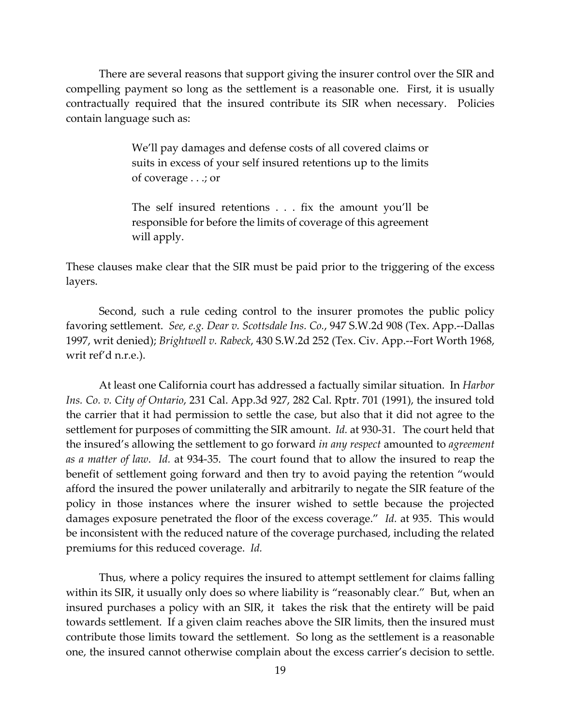There are several reasons that support giving the insurer control over the SIR and compelling payment so long as the settlement is a reasonable one. First, it is usually contractually required that the insured contribute its SIR when necessary. Policies contain language such as:

> We'll pay damages and defense costs of all covered claims or suits in excess of your self insured retentions up to the limits of coverage . . .; or

> The self insured retentions . . . fix the amount you'll be responsible for before the limits of coverage of this agreement will apply.

These clauses make clear that the SIR must be paid prior to the triggering of the excess layers.

Second, such a rule ceding control to the insurer promotes the public policy favoring settlement. *See, e.g. Dear v. Scottsdale Ins. Co.*, 947 S.W.2d 908 (Tex. App.--Dallas 1997, writ denied); *Brightwell v. Rabeck*, 430 S.W.2d 252 (Tex. Civ. App.--Fort Worth 1968, writ ref'd n.r.e.).

At least one California court has addressed a factually similar situation. In *Harbor Ins. Co. v. City of Ontario*, 231 Cal. App.3d 927, 282 Cal. Rptr. 701 (1991), the insured told the carrier that it had permission to settle the case, but also that it did not agree to the settlement for purposes of committing the SIR amount. *Id.* at 930-31. The court held that the insured's allowing the settlement to go forward *in any respect* amounted to *agreement as a matter of law*. *Id.* at 934-35. The court found that to allow the insured to reap the benefit of settlement going forward and then try to avoid paying the retention "would afford the insured the power unilaterally and arbitrarily to negate the SIR feature of the policy in those instances where the insurer wished to settle because the projected damages exposure penetrated the floor of the excess coverage." *Id.* at 935. This would be inconsistent with the reduced nature of the coverage purchased, including the related premiums for this reduced coverage. *Id.*

Thus, where a policy requires the insured to attempt settlement for claims falling within its SIR, it usually only does so where liability is "reasonably clear." But, when an insured purchases a policy with an SIR, it takes the risk that the entirety will be paid towards settlement. If a given claim reaches above the SIR limits, then the insured must contribute those limits toward the settlement. So long as the settlement is a reasonable one, the insured cannot otherwise complain about the excess carrier's decision to settle.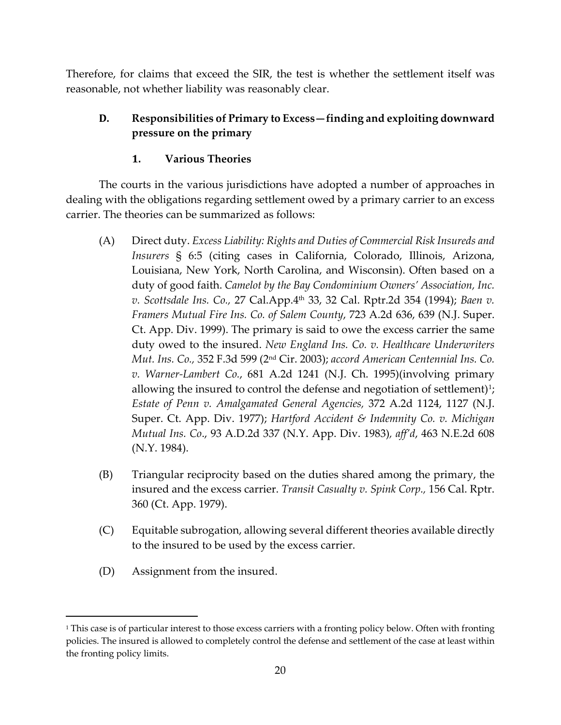Therefore, for claims that exceed the SIR, the test is whether the settlement itself was reasonable, not whether liability was reasonably clear.

# **D. Responsibilities of Primary to Excess—finding and exploiting downward pressure on the primary**

# **1. Various Theories**

The courts in the various jurisdictions have adopted a number of approaches in dealing with the obligations regarding settlement owed by a primary carrier to an excess carrier. The theories can be summarized as follows:

- (A) Direct duty. *Excess Liability: Rights and Duties of Commercial Risk Insureds and Insurers* § 6:5 (citing cases in California, Colorado, Illinois, Arizona, Louisiana, New York, North Carolina, and Wisconsin). Often based on a duty of good faith. *Camelot by the Bay Condominium Owners' Association, Inc. v. Scottsdale Ins. Co.,* 27 Cal.App.4th 33, 32 Cal. Rptr.2d 354 (1994); *Baen v. Framers Mutual Fire Ins. Co. of Salem County*, 723 A.2d 636, 639 (N.J. Super. Ct. App. Div. 1999). The primary is said to owe the excess carrier the same duty owed to the insured. *New England Ins. Co. v. Healthcare Underwriters Mut. Ins. Co.,* 352 F.3d 599 (2nd Cir. 2003); *accord American Centennial Ins. Co. v. Warner-Lambert Co.*, 681 A.2d 1241 (N.J. Ch. 1995)(involving primary allowing the insured to control the defense and negotiation of settlement)<sup>[1](#page-19-0)</sup>; *Estate of Penn v. Amalgamated General Agencies,* 372 A.2d 1124, 1127 (N.J. Super. Ct. App. Div. 1977); *Hartford Accident & Indemnity Co. v. Michigan Mutual Ins. Co*., 93 A.D.2d 337 (N.Y. App. Div. 1983)*, aff'd*, 463 N.E.2d 608 (N.Y. 1984).
- (B) Triangular reciprocity based on the duties shared among the primary, the insured and the excess carrier. *Transit Casualty v. Spink Corp.,* 156 Cal. Rptr. 360 (Ct. App. 1979).
- (C) Equitable subrogation, allowing several different theories available directly to the insured to be used by the excess carrier.
- (D) Assignment from the insured.

<span id="page-19-0"></span><sup>&</sup>lt;sup>1</sup> This case is of particular interest to those excess carriers with a fronting policy below. Often with fronting policies. The insured is allowed to completely control the defense and settlement of the case at least within the fronting policy limits.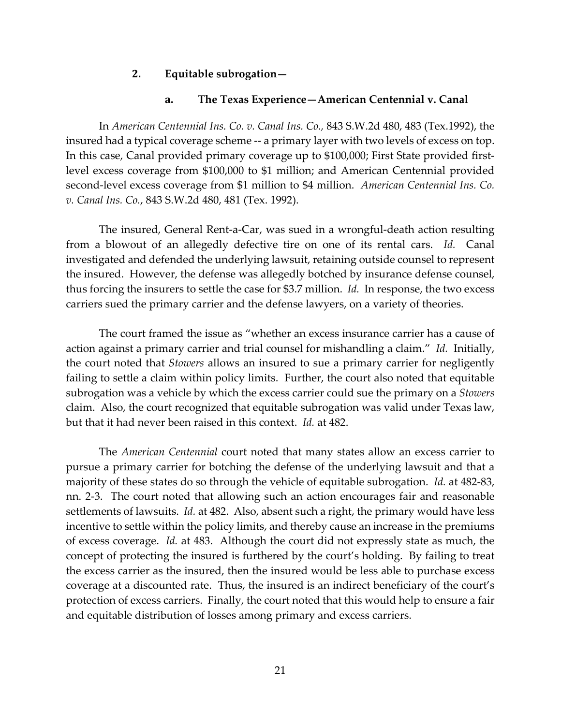### **2. Equitable subrogation—**

#### **a. The Texas Experience—American Centennial v. Canal**

In *American Centennial Ins. Co. v. Canal Ins. Co.,* 843 S.W.2d 480, 483 (Tex.1992), the insured had a typical coverage scheme -- a primary layer with two levels of excess on top. In this case, Canal provided primary coverage up to \$100,000; First State provided firstlevel excess coverage from \$100,000 to \$1 million; and American Centennial provided second-level excess coverage from \$1 million to \$4 million. *American Centennial Ins. Co. v. Canal Ins. Co.*, 843 S.W.2d 480, 481 (Tex. 1992).

The insured, General Rent-a-Car, was sued in a wrongful-death action resulting from a blowout of an allegedly defective tire on one of its rental cars. *Id.* Canal investigated and defended the underlying lawsuit, retaining outside counsel to represent the insured. However, the defense was allegedly botched by insurance defense counsel, thus forcing the insurers to settle the case for \$3.7 million. *Id.* In response, the two excess carriers sued the primary carrier and the defense lawyers, on a variety of theories.

The court framed the issue as "whether an excess insurance carrier has a cause of action against a primary carrier and trial counsel for mishandling a claim." *Id.* Initially, the court noted that *Stowers* allows an insured to sue a primary carrier for negligently failing to settle a claim within policy limits. Further, the court also noted that equitable subrogation was a vehicle by which the excess carrier could sue the primary on a *Stowers* claim. Also, the court recognized that equitable subrogation was valid under Texas law, but that it had never been raised in this context. *Id.* at 482.

The *American Centennial* court noted that many states allow an excess carrier to pursue a primary carrier for botching the defense of the underlying lawsuit and that a majority of these states do so through the vehicle of equitable subrogation. *Id.* at 482-83, nn. 2-3. The court noted that allowing such an action encourages fair and reasonable settlements of lawsuits. *Id.* at 482. Also, absent such a right, the primary would have less incentive to settle within the policy limits, and thereby cause an increase in the premiums of excess coverage. *Id.* at 483. Although the court did not expressly state as much, the concept of protecting the insured is furthered by the court's holding. By failing to treat the excess carrier as the insured, then the insured would be less able to purchase excess coverage at a discounted rate. Thus, the insured is an indirect beneficiary of the court's protection of excess carriers. Finally, the court noted that this would help to ensure a fair and equitable distribution of losses among primary and excess carriers.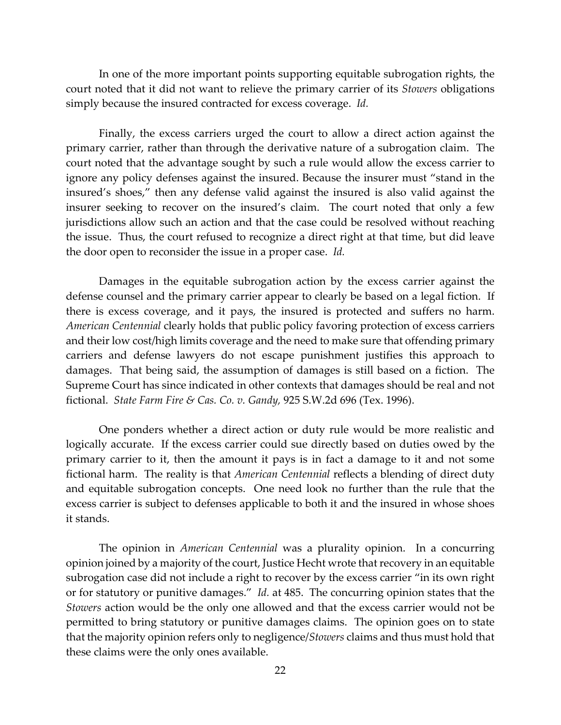In one of the more important points supporting equitable subrogation rights, the court noted that it did not want to relieve the primary carrier of its *Stowers* obligations simply because the insured contracted for excess coverage. *Id.*

Finally, the excess carriers urged the court to allow a direct action against the primary carrier, rather than through the derivative nature of a subrogation claim. The court noted that the advantage sought by such a rule would allow the excess carrier to ignore any policy defenses against the insured. Because the insurer must "stand in the insured's shoes," then any defense valid against the insured is also valid against the insurer seeking to recover on the insured's claim. The court noted that only a few jurisdictions allow such an action and that the case could be resolved without reaching the issue. Thus, the court refused to recognize a direct right at that time, but did leave the door open to reconsider the issue in a proper case. *Id.*

Damages in the equitable subrogation action by the excess carrier against the defense counsel and the primary carrier appear to clearly be based on a legal fiction. If there is excess coverage, and it pays, the insured is protected and suffers no harm. *American Centennial* clearly holds that public policy favoring protection of excess carriers and their low cost/high limits coverage and the need to make sure that offending primary carriers and defense lawyers do not escape punishment justifies this approach to damages. That being said, the assumption of damages is still based on a fiction. The Supreme Court has since indicated in other contexts that damages should be real and not fictional. *State Farm Fire & Cas. Co. v. Gandy,* 925 S.W.2d 696 (Tex. 1996).

One ponders whether a direct action or duty rule would be more realistic and logically accurate. If the excess carrier could sue directly based on duties owed by the primary carrier to it, then the amount it pays is in fact a damage to it and not some fictional harm. The reality is that *American Centennial* reflects a blending of direct duty and equitable subrogation concepts. One need look no further than the rule that the excess carrier is subject to defenses applicable to both it and the insured in whose shoes it stands.

The opinion in *American Centennial* was a plurality opinion. In a concurring opinion joined by a majority of the court, Justice Hecht wrote that recovery in an equitable subrogation case did not include a right to recover by the excess carrier "in its own right or for statutory or punitive damages." *Id.* at 485. The concurring opinion states that the *Stowers* action would be the only one allowed and that the excess carrier would not be permitted to bring statutory or punitive damages claims. The opinion goes on to state that the majority opinion refers only to negligence/*Stowers* claims and thus must hold that these claims were the only ones available.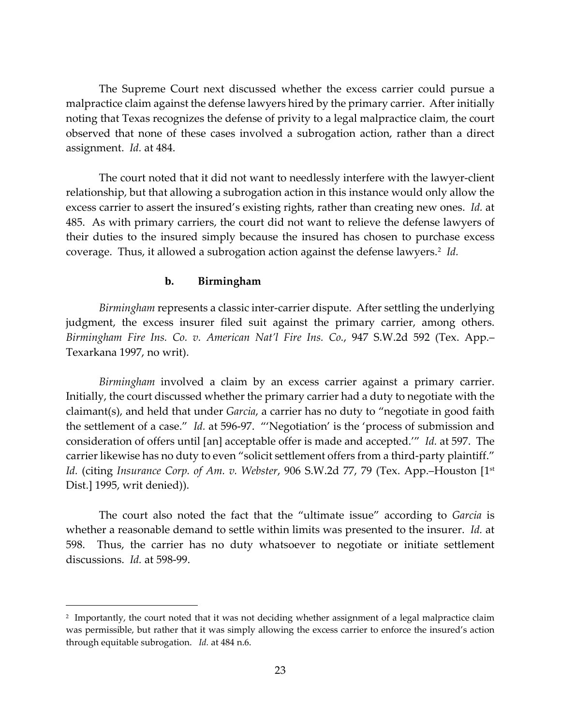The Supreme Court next discussed whether the excess carrier could pursue a malpractice claim against the defense lawyers hired by the primary carrier. After initially noting that Texas recognizes the defense of privity to a legal malpractice claim, the court observed that none of these cases involved a subrogation action, rather than a direct assignment. *Id.* at 484.

The court noted that it did not want to needlessly interfere with the lawyer-client relationship, but that allowing a subrogation action in this instance would only allow the excess carrier to assert the insured's existing rights, rather than creating new ones. *Id.* at 485. As with primary carriers, the court did not want to relieve the defense lawyers of their duties to the insured simply because the insured has chosen to purchase excess coverage. Thus, it allowed a subrogation action against the defense lawyers.<sup>2</sup> *Id.* 

### **b. Birmingham**

*Birmingham* represents a classic inter-carrier dispute. After settling the underlying judgment, the excess insurer filed suit against the primary carrier, among others. *Birmingham Fire Ins. Co. v. American Nat'l Fire Ins. Co.*, 947 S.W.2d 592 (Tex. App.– Texarkana 1997, no writ).

*Birmingham* involved a claim by an excess carrier against a primary carrier. Initially, the court discussed whether the primary carrier had a duty to negotiate with the claimant(s), and held that under *Garcia*, a carrier has no duty to "negotiate in good faith the settlement of a case." *Id.* at 596-97. "'Negotiation' is the 'process of submission and consideration of offers until [an] acceptable offer is made and accepted.'" *Id.* at 597. The carrier likewise has no duty to even "solicit settlement offers from a third-party plaintiff." *Id.* (citing *Insurance Corp. of Am. v. Webster*, 906 S.W.2d 77, 79 (Tex. App.–Houston [1st Dist.] 1995, writ denied)).

The court also noted the fact that the "ultimate issue" according to *Garcia* is whether a reasonable demand to settle within limits was presented to the insurer. *Id.* at 598. Thus, the carrier has no duty whatsoever to negotiate or initiate settlement discussions. *Id.* at 598-99.

<span id="page-22-0"></span><sup>&</sup>lt;sup>2</sup> Importantly, the court noted that it was not deciding whether assignment of a legal malpractice claim was permissible, but rather that it was simply allowing the excess carrier to enforce the insured's action through equitable subrogation. *Id.* at 484 n.6.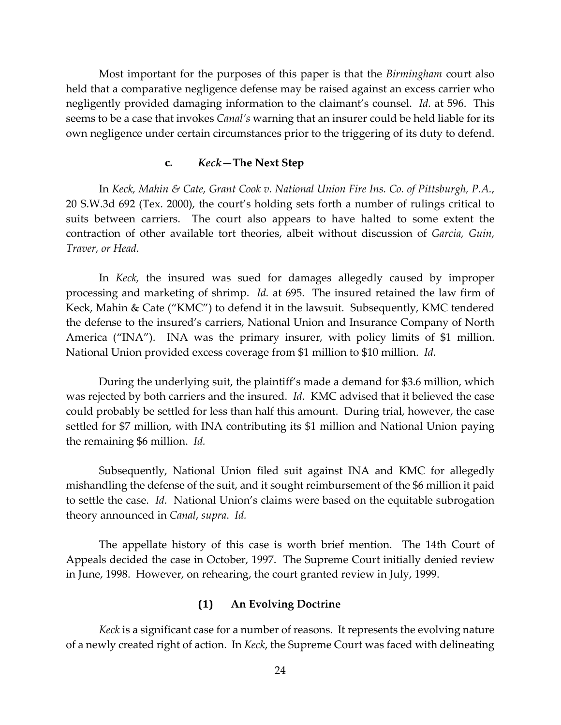Most important for the purposes of this paper is that the *Birmingham* court also held that a comparative negligence defense may be raised against an excess carrier who negligently provided damaging information to the claimant's counsel. *Id.* at 596. This seems to be a case that invokes *Canal's* warning that an insurer could be held liable for its own negligence under certain circumstances prior to the triggering of its duty to defend.

#### **c.** *Keck—***The Next Step**

In *Keck, Mahin & Cate, Grant Cook v. National Union Fire Ins. Co. of Pittsburgh, P.A.*, 20 S.W.3d 692 (Tex. 2000), the court's holding sets forth a number of rulings critical to suits between carriers. The court also appears to have halted to some extent the contraction of other available tort theories, albeit without discussion of *Garcia, Guin, Traver, or Head.*

In *Keck,* the insured was sued for damages allegedly caused by improper processing and marketing of shrimp. *Id.* at 695. The insured retained the law firm of Keck, Mahin & Cate ("KMC") to defend it in the lawsuit. Subsequently, KMC tendered the defense to the insured's carriers, National Union and Insurance Company of North America ("INA"). INA was the primary insurer, with policy limits of \$1 million. National Union provided excess coverage from \$1 million to \$10 million. *Id.*

During the underlying suit, the plaintiff's made a demand for \$3.6 million, which was rejected by both carriers and the insured. *Id*. KMC advised that it believed the case could probably be settled for less than half this amount. During trial, however, the case settled for \$7 million, with INA contributing its \$1 million and National Union paying the remaining \$6 million. *Id.*

Subsequently, National Union filed suit against INA and KMC for allegedly mishandling the defense of the suit, and it sought reimbursement of the \$6 million it paid to settle the case. *Id.* National Union's claims were based on the equitable subrogation theory announced in *Canal*, *supra*. *Id.*

The appellate history of this case is worth brief mention. The 14th Court of Appeals decided the case in October, 1997. The Supreme Court initially denied review in June, 1998. However, on rehearing, the court granted review in July, 1999.

### **(1) An Evolving Doctrine**

*Keck* is a significant case for a number of reasons. It represents the evolving nature of a newly created right of action. In *Keck*, the Supreme Court was faced with delineating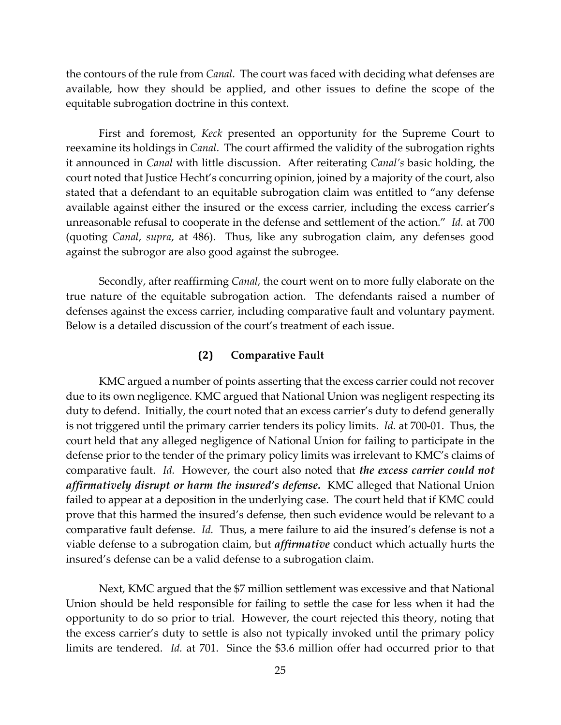the contours of the rule from *Canal*. The court was faced with deciding what defenses are available, how they should be applied, and other issues to define the scope of the equitable subrogation doctrine in this context.

First and foremost, *Keck* presented an opportunity for the Supreme Court to reexamine its holdings in *Canal*. The court affirmed the validity of the subrogation rights it announced in *Canal* with little discussion. After reiterating *Canal's* basic holding, the court noted that Justice Hecht's concurring opinion, joined by a majority of the court, also stated that a defendant to an equitable subrogation claim was entitled to "any defense available against either the insured or the excess carrier, including the excess carrier's unreasonable refusal to cooperate in the defense and settlement of the action." *Id.* at 700 (quoting *Canal*, *supra*, at 486). Thus, like any subrogation claim, any defenses good against the subrogor are also good against the subrogee.

Secondly, after reaffirming *Canal,* the court went on to more fully elaborate on the true nature of the equitable subrogation action. The defendants raised a number of defenses against the excess carrier, including comparative fault and voluntary payment. Below is a detailed discussion of the court's treatment of each issue.

#### **(2) Comparative Fault**

KMC argued a number of points asserting that the excess carrier could not recover due to its own negligence. KMC argued that National Union was negligent respecting its duty to defend. Initially, the court noted that an excess carrier's duty to defend generally is not triggered until the primary carrier tenders its policy limits. *Id.* at 700-01. Thus, the court held that any alleged negligence of National Union for failing to participate in the defense prior to the tender of the primary policy limits was irrelevant to KMC's claims of comparative fault. *Id.* However, the court also noted that *the excess carrier could not affirmatively disrupt or harm the insured's defense.* KMC alleged that National Union failed to appear at a deposition in the underlying case. The court held that if KMC could prove that this harmed the insured's defense, then such evidence would be relevant to a comparative fault defense. *Id.* Thus, a mere failure to aid the insured's defense is not a viable defense to a subrogation claim, but *affirmative* conduct which actually hurts the insured's defense can be a valid defense to a subrogation claim.

Next, KMC argued that the \$7 million settlement was excessive and that National Union should be held responsible for failing to settle the case for less when it had the opportunity to do so prior to trial. However, the court rejected this theory, noting that the excess carrier's duty to settle is also not typically invoked until the primary policy limits are tendered. *Id.* at 701. Since the \$3.6 million offer had occurred prior to that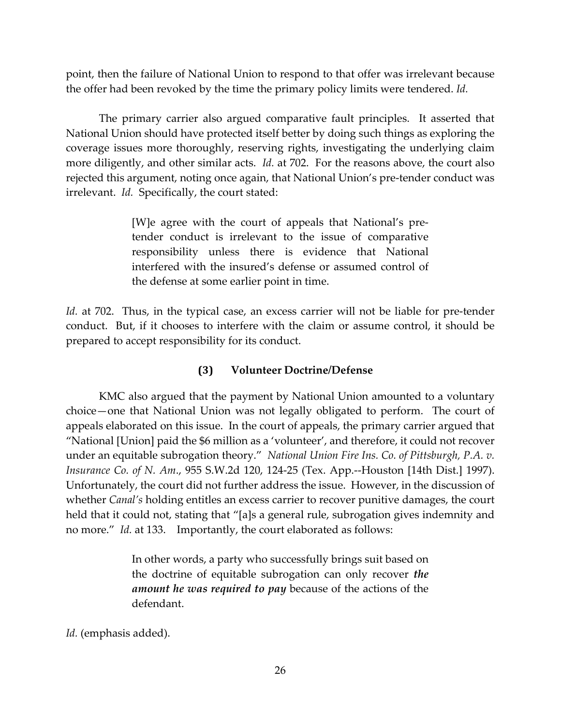point, then the failure of National Union to respond to that offer was irrelevant because the offer had been revoked by the time the primary policy limits were tendered. *Id.*

The primary carrier also argued comparative fault principles. It asserted that National Union should have protected itself better by doing such things as exploring the coverage issues more thoroughly, reserving rights, investigating the underlying claim more diligently, and other similar acts. *Id.* at 702. For the reasons above, the court also rejected this argument, noting once again, that National Union's pre-tender conduct was irrelevant. *Id.* Specifically, the court stated:

> [W]e agree with the court of appeals that National's pretender conduct is irrelevant to the issue of comparative responsibility unless there is evidence that National interfered with the insured's defense or assumed control of the defense at some earlier point in time.

*Id.* at 702. Thus, in the typical case, an excess carrier will not be liable for pre-tender conduct. But, if it chooses to interfere with the claim or assume control, it should be prepared to accept responsibility for its conduct.

### **(3) Volunteer Doctrine/Defense**

KMC also argued that the payment by National Union amounted to a voluntary choice—one that National Union was not legally obligated to perform. The court of appeals elaborated on this issue. In the court of appeals, the primary carrier argued that "National [Union] paid the \$6 million as a 'volunteer', and therefore, it could not recover under an equitable subrogation theory." *National Union Fire Ins. Co. of Pittsburgh, P.A. v. Insurance Co. of N. Am*., 955 S.W.2d 120, 124-25 (Tex. App.--Houston [14th Dist.] 1997). Unfortunately, the court did not further address the issue. However, in the discussion of whether *Canal's* holding entitles an excess carrier to recover punitive damages, the court held that it could not, stating that "[a]s a general rule, subrogation gives indemnity and no more." *Id.* at 133. Importantly, the court elaborated as follows:

> In other words, a party who successfully brings suit based on the doctrine of equitable subrogation can only recover *the amount he was required to pay* because of the actions of the defendant.

*Id.* (emphasis added).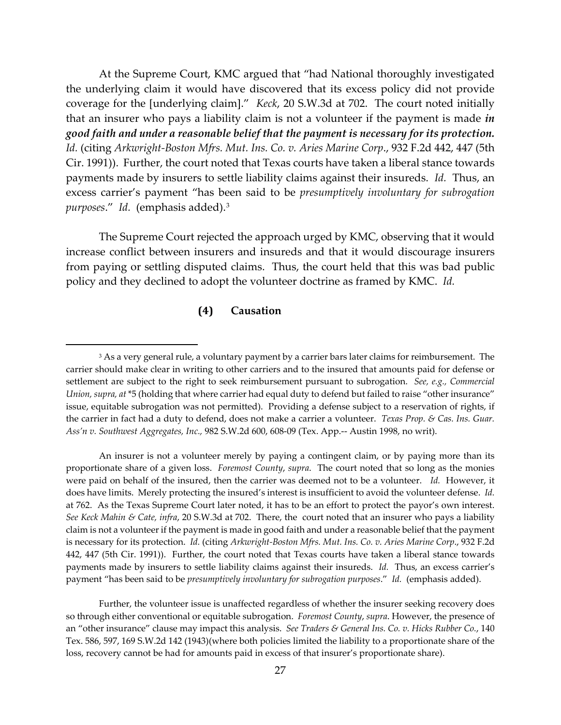At the Supreme Court, KMC argued that "had National thoroughly investigated the underlying claim it would have discovered that its excess policy did not provide coverage for the [underlying claim]." *Keck*, 20 S.W.3d at 702. The court noted initially that an insurer who pays a liability claim is not a volunteer if the payment is made *in good faith and under a reasonable belief that the payment is necessary for its protection. Id.* (citing *Arkwright-Boston Mfrs. Mut. Ins. Co. v. Aries Marine Corp*., 932 F.2d 442, 447 (5th Cir. 1991)). Further, the court noted that Texas courts have taken a liberal stance towards payments made by insurers to settle liability claims against their insureds. *Id.* Thus, an excess carrier's payment "has been said to be *presumptively involuntary for subrogation purposes*." *Id.* (emphasis added).[3](#page-26-0)

The Supreme Court rejected the approach urged by KMC, observing that it would increase conflict between insurers and insureds and that it would discourage insurers from paying or settling disputed claims. Thus, the court held that this was bad public policy and they declined to adopt the volunteer doctrine as framed by KMC. *Id.*

### **(4) Causation**

An insurer is not a volunteer merely by paying a contingent claim, or by paying more than its proportionate share of a given loss. *Foremost County*, *supra*. The court noted that so long as the monies were paid on behalf of the insured, then the carrier was deemed not to be a volunteer. *Id.* However, it does have limits. Merely protecting the insured's interest is insufficient to avoid the volunteer defense. *Id.* at 762. As the Texas Supreme Court later noted, it has to be an effort to protect the payor's own interest. *See Keck Mahin & Cate, infra*, 20 S.W.3d at 702. There, the court noted that an insurer who pays a liability claim is not a volunteer if the payment is made in good faith and under a reasonable belief that the payment is necessary for its protection. *Id.* (citing *Arkwright-Boston Mfrs. Mut. Ins. Co. v. Aries Marine Corp*., 932 F.2d 442, 447 (5th Cir. 1991)). Further, the court noted that Texas courts have taken a liberal stance towards payments made by insurers to settle liability claims against their insureds. *Id.* Thus, an excess carrier's payment "has been said to be *presumptively involuntary for subrogation purposes*." *Id.* (emphasis added).

Further, the volunteer issue is unaffected regardless of whether the insurer seeking recovery does so through either conventional or equitable subrogation. *Foremost County*, *supra*. However, the presence of an "other insurance" clause may impact this analysis. *See Traders & General Ins. Co. v. Hicks Rubber Co.*, 140 Tex. 586, 597, 169 S.W.2d 142 (1943)(where both policies limited the liability to a proportionate share of the loss, recovery cannot be had for amounts paid in excess of that insurer's proportionate share).

<span id="page-26-0"></span><sup>&</sup>lt;sup>3</sup> As a very general rule, a voluntary payment by a carrier bars later claims for reimbursement. The carrier should make clear in writing to other carriers and to the insured that amounts paid for defense or settlement are subject to the right to seek reimbursement pursuant to subrogation. *See, e.g., Commercial Union, supra, at* \*5 (holding that where carrier had equal duty to defend but failed to raise "other insurance" issue, equitable subrogation was not permitted). Providing a defense subject to a reservation of rights, if the carrier in fact had a duty to defend, does not make a carrier a volunteer. *Texas Prop. & Cas. Ins. Guar. Ass'n v. Southwest Aggregates, Inc.,* 982 S.W.2d 600, 608-09 (Tex. App.-- Austin 1998, no writ).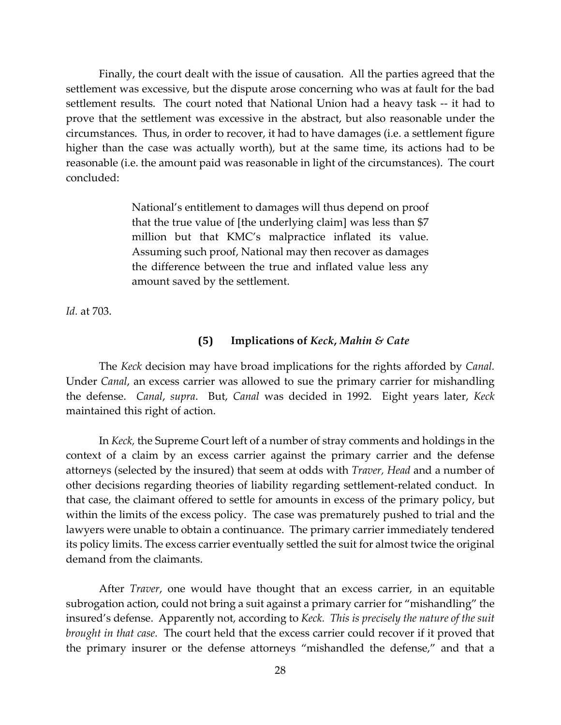Finally, the court dealt with the issue of causation. All the parties agreed that the settlement was excessive, but the dispute arose concerning who was at fault for the bad settlement results. The court noted that National Union had a heavy task -- it had to prove that the settlement was excessive in the abstract, but also reasonable under the circumstances. Thus, in order to recover, it had to have damages (i.e. a settlement figure higher than the case was actually worth), but at the same time, its actions had to be reasonable (i.e. the amount paid was reasonable in light of the circumstances). The court concluded:

> National's entitlement to damages will thus depend on proof that the true value of [the underlying claim] was less than \$7 million but that KMC's malpractice inflated its value. Assuming such proof, National may then recover as damages the difference between the true and inflated value less any amount saved by the settlement.

*Id.* at 703.

#### **(5) Implications of** *Keck***,** *Mahin & Cate*

The *Keck* decision may have broad implications for the rights afforded by *Canal.* Under *Canal*, an excess carrier was allowed to sue the primary carrier for mishandling the defense. *Canal*, *supra*. But, *Canal* was decided in 1992. Eight years later, *Keck* maintained this right of action.

In *Keck,* the Supreme Court left of a number of stray comments and holdings in the context of a claim by an excess carrier against the primary carrier and the defense attorneys (selected by the insured) that seem at odds with *Traver, Head* and a number of other decisions regarding theories of liability regarding settlement-related conduct. In that case, the claimant offered to settle for amounts in excess of the primary policy, but within the limits of the excess policy. The case was prematurely pushed to trial and the lawyers were unable to obtain a continuance. The primary carrier immediately tendered its policy limits. The excess carrier eventually settled the suit for almost twice the original demand from the claimants.

After *Traver*, one would have thought that an excess carrier, in an equitable subrogation action, could not bring a suit against a primary carrier for "mishandling" the insured's defense. Apparently not, according to *Keck. This is precisely the nature of the suit brought in that case.* The court held that the excess carrier could recover if it proved that the primary insurer or the defense attorneys "mishandled the defense," and that a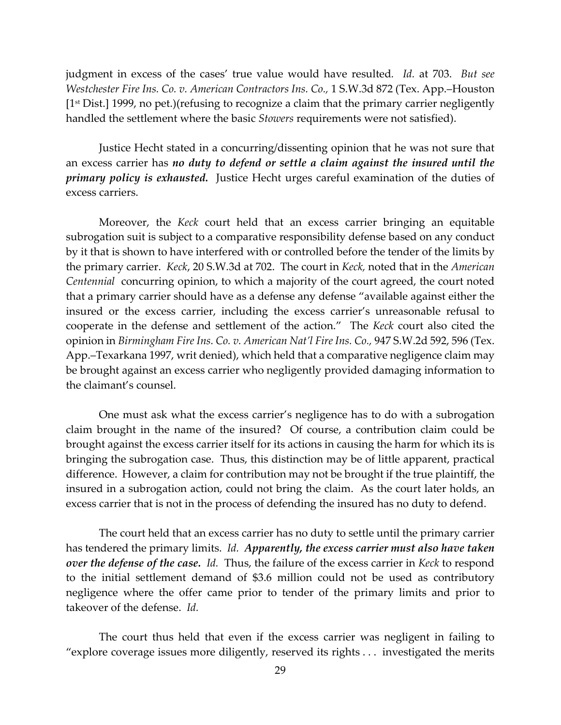judgment in excess of the cases' true value would have resulted*. Id.* at 703. *But see Westchester Fire Ins. Co. v. American Contractors Ins. Co.,* 1 S.W.3d 872 (Tex. App.–Houston [1st Dist.] 1999, no pet.)(refusing to recognize a claim that the primary carrier negligently handled the settlement where the basic *Stowers* requirements were not satisfied).

Justice Hecht stated in a concurring/dissenting opinion that he was not sure that an excess carrier has *no duty to defend or settle a claim against the insured until the primary policy is exhausted.* Justice Hecht urges careful examination of the duties of excess carriers.

Moreover, the *Keck* court held that an excess carrier bringing an equitable subrogation suit is subject to a comparative responsibility defense based on any conduct by it that is shown to have interfered with or controlled before the tender of the limits by the primary carrier. *Keck*, 20 S.W.3d at 702. The court in *Keck,* noted that in the *American Centennial* concurring opinion, to which a majority of the court agreed, the court noted that a primary carrier should have as a defense any defense "available against either the insured or the excess carrier, including the excess carrier's unreasonable refusal to cooperate in the defense and settlement of the action." The *Keck* court also cited the opinion in *Birmingham Fire Ins. Co. v. American Nat'l Fire Ins. Co.,* 947 S.W.2d 592, 596 (Tex. App.–Texarkana 1997, writ denied), which held that a comparative negligence claim may be brought against an excess carrier who negligently provided damaging information to the claimant's counsel.

One must ask what the excess carrier's negligence has to do with a subrogation claim brought in the name of the insured? Of course, a contribution claim could be brought against the excess carrier itself for its actions in causing the harm for which its is bringing the subrogation case. Thus, this distinction may be of little apparent, practical difference. However, a claim for contribution may not be brought if the true plaintiff, the insured in a subrogation action, could not bring the claim. As the court later holds, an excess carrier that is not in the process of defending the insured has no duty to defend.

The court held that an excess carrier has no duty to settle until the primary carrier has tendered the primary limits. *Id. Apparently, the excess carrier must also have taken over the defense of the case. Id.* Thus, the failure of the excess carrier in *Keck* to respond to the initial settlement demand of \$3.6 million could not be used as contributory negligence where the offer came prior to tender of the primary limits and prior to takeover of the defense. *Id.*

The court thus held that even if the excess carrier was negligent in failing to "explore coverage issues more diligently, reserved its rights . . . investigated the merits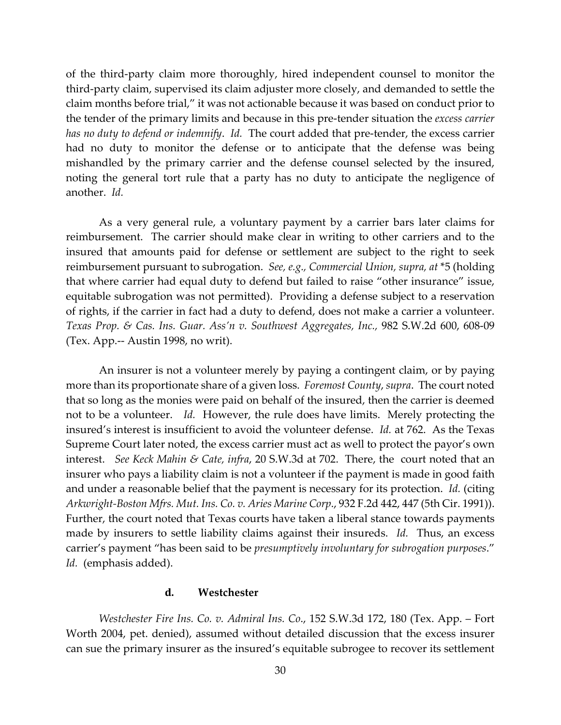of the third-party claim more thoroughly, hired independent counsel to monitor the third-party claim, supervised its claim adjuster more closely, and demanded to settle the claim months before trial," it was not actionable because it was based on conduct prior to the tender of the primary limits and because in this pre-tender situation the *excess carrier has no duty to defend or indemnify*. *Id.* The court added that pre-tender, the excess carrier had no duty to monitor the defense or to anticipate that the defense was being mishandled by the primary carrier and the defense counsel selected by the insured, noting the general tort rule that a party has no duty to anticipate the negligence of another. *Id.*

As a very general rule, a voluntary payment by a carrier bars later claims for reimbursement. The carrier should make clear in writing to other carriers and to the insured that amounts paid for defense or settlement are subject to the right to seek reimbursement pursuant to subrogation. *See, e.g., Commercial Union, supra, at* \*5 (holding that where carrier had equal duty to defend but failed to raise "other insurance" issue, equitable subrogation was not permitted). Providing a defense subject to a reservation of rights, if the carrier in fact had a duty to defend, does not make a carrier a volunteer. *Texas Prop. & Cas. Ins. Guar. Ass'n v. Southwest Aggregates, Inc.,* 982 S.W.2d 600, 608-09 (Tex. App.-- Austin 1998, no writ).

An insurer is not a volunteer merely by paying a contingent claim, or by paying more than its proportionate share of a given loss. *Foremost County*, *supra*. The court noted that so long as the monies were paid on behalf of the insured, then the carrier is deemed not to be a volunteer. *Id.* However, the rule does have limits. Merely protecting the insured's interest is insufficient to avoid the volunteer defense. *Id.* at 762. As the Texas Supreme Court later noted, the excess carrier must act as well to protect the payor's own interest. *See Keck Mahin & Cate, infra*, 20 S.W.3d at 702. There, the court noted that an insurer who pays a liability claim is not a volunteer if the payment is made in good faith and under a reasonable belief that the payment is necessary for its protection. *Id.* (citing *Arkwright-Boston Mfrs. Mut. Ins. Co. v. Aries Marine Corp*., 932 F.2d 442, 447 (5th Cir. 1991)). Further, the court noted that Texas courts have taken a liberal stance towards payments made by insurers to settle liability claims against their insureds. *Id.* Thus, an excess carrier's payment "has been said to be *presumptively involuntary for subrogation purposes*." *Id.* (emphasis added).

#### **d. Westchester**

*Westchester Fire Ins. Co. v. Admiral Ins. Co*., 152 S.W.3d 172, 180 (Tex. App. – Fort Worth 2004, pet. denied), assumed without detailed discussion that the excess insurer can sue the primary insurer as the insured's equitable subrogee to recover its settlement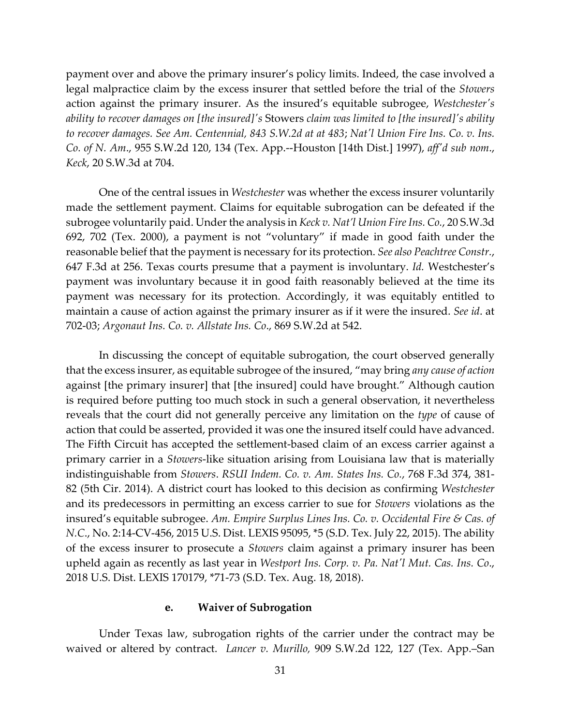payment over and above the primary insurer's policy limits. Indeed, the case involved a legal malpractice claim by the excess insurer that settled before the trial of the *Stowers*  action against the primary insurer. As the insured's equitable subrogee, *Westchester's ability to recover damages on [the insured]'s* Stowers *claim was limited to [the insured]'s ability to recover damages. See Am. Centennial, 843 S.W.2d at at 483*; *Nat'l Union Fire Ins. Co. v. Ins. Co. of N. Am*., 955 S.W.2d 120, 134 (Tex. App.--Houston [14th Dist.] 1997), *aff'd sub nom*., *Keck*, 20 S.W.3d at 704.

One of the central issues in *Westchester* was whether the excess insurer voluntarily made the settlement payment. Claims for equitable subrogation can be defeated if the subrogee voluntarily paid. Under the analysis in *Keck v. Nat'l Union Fire Ins. Co.*, 20 S.W.3d 692, 702 (Tex. 2000), a payment is not "voluntary" if made in good faith under the reasonable belief that the payment is necessary for its protection. *See also Peachtree Constr.*, 647 F.3d at 256. Texas courts presume that a payment is involuntary. *Id.* Westchester's payment was involuntary because it in good faith reasonably believed at the time its payment was necessary for its protection. Accordingly, it was equitably entitled to maintain a cause of action against the primary insurer as if it were the insured. *See id*. at 702-03; *Argonaut Ins. Co. v. Allstate Ins. Co*., 869 S.W.2d at 542.

In discussing the concept of equitable subrogation, the court observed generally that the excess insurer, as equitable subrogee of the insured, "may bring *any cause of action* against [the primary insurer] that [the insured] could have brought." Although caution is required before putting too much stock in such a general observation, it nevertheless reveals that the court did not generally perceive any limitation on the *type* of cause of action that could be asserted, provided it was one the insured itself could have advanced. The Fifth Circuit has accepted the settlement-based claim of an excess carrier against a primary carrier in a *Stowers*-like situation arising from Louisiana law that is materially indistinguishable from *Stowers*. *RSUI Indem. Co. v. Am. States Ins. Co.*, 768 F.3d 374, 381- 82 (5th Cir. 2014). A district court has looked to this decision as confirming *Westchester* and its predecessors in permitting an excess carrier to sue for *Stowers* violations as the insured's equitable subrogee. *Am. Empire Surplus Lines Ins. Co. v. Occidental Fire & Cas. of N.C*., No. 2:14-CV-456, 2015 U.S. Dist. LEXIS 95095, \*5 (S.D. Tex. July 22, 2015). The ability of the excess insurer to prosecute a *Stowers* claim against a primary insurer has been upheld again as recently as last year in *Westport Ins. Corp. v. Pa. Nat'l Mut. Cas. Ins. Co*., 2018 U.S. Dist. LEXIS 170179, \*71-73 (S.D. Tex. Aug. 18, 2018).

#### **e. Waiver of Subrogation**

Under Texas law, subrogation rights of the carrier under the contract may be waived or altered by contract. *Lancer v. Murillo,* 909 S.W.2d 122, 127 (Tex. App.–San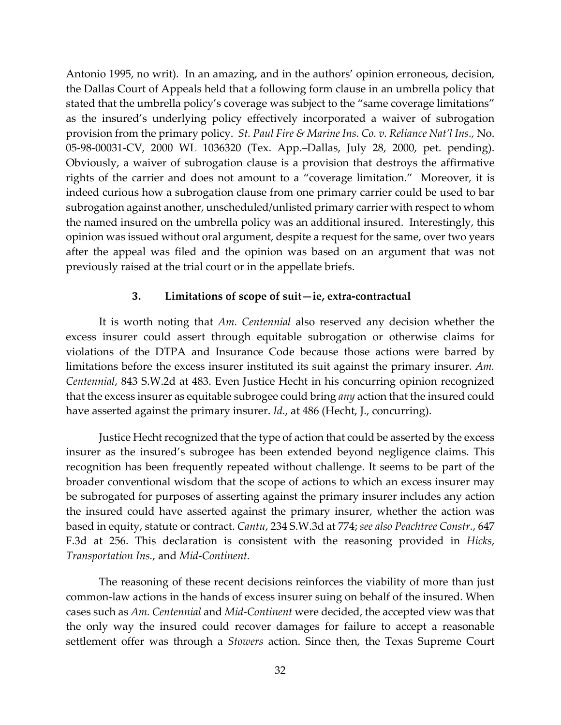Antonio 1995, no writ). In an amazing, and in the authors' opinion erroneous, decision, the Dallas Court of Appeals held that a following form clause in an umbrella policy that stated that the umbrella policy's coverage was subject to the "same coverage limitations" as the insured's underlying policy effectively incorporated a waiver of subrogation provision from the primary policy. *St. Paul Fire & Marine Ins. Co. v. Reliance Nat'l Ins.,* No. 05-98-00031-CV, 2000 WL 1036320 (Tex. App.–Dallas, July 28, 2000, pet. pending). Obviously, a waiver of subrogation clause is a provision that destroys the affirmative rights of the carrier and does not amount to a "coverage limitation." Moreover, it is indeed curious how a subrogation clause from one primary carrier could be used to bar subrogation against another, unscheduled/unlisted primary carrier with respect to whom the named insured on the umbrella policy was an additional insured. Interestingly, this opinion was issued without oral argument, despite a request for the same, over two years after the appeal was filed and the opinion was based on an argument that was not previously raised at the trial court or in the appellate briefs.

### **3. Limitations of scope of suit—ie, extra-contractual**

It is worth noting that *Am. Centennial* also reserved any decision whether the excess insurer could assert through equitable subrogation or otherwise claims for violations of the DTPA and Insurance Code because those actions were barred by limitations before the excess insurer instituted its suit against the primary insurer. *Am. Centennial*, 843 S.W.2d at 483. Even Justice Hecht in his concurring opinion recognized that the excess insurer as equitable subrogee could bring *any* action that the insured could have asserted against the primary insurer. *Id.*, at 486 (Hecht, J., concurring).

Justice Hecht recognized that the type of action that could be asserted by the excess insurer as the insured's subrogee has been extended beyond negligence claims. This recognition has been frequently repeated without challenge. It seems to be part of the broader conventional wisdom that the scope of actions to which an excess insurer may be subrogated for purposes of asserting against the primary insurer includes any action the insured could have asserted against the primary insurer, whether the action was based in equity, statute or contract. *Cantu*, 234 S.W.3d at 774; *see also Peachtree Constr.*, 647 F.3d at 256. This declaration is consistent with the reasoning provided in *Hicks*, *Transportation Ins.*, and *Mid-Continent.*

The reasoning of these recent decisions reinforces the viability of more than just common-law actions in the hands of excess insurer suing on behalf of the insured. When cases such as *Am. Centennial* and *Mid-Continent* were decided, the accepted view was that the only way the insured could recover damages for failure to accept a reasonable settlement offer was through a *Stowers* action. Since then, the Texas Supreme Court